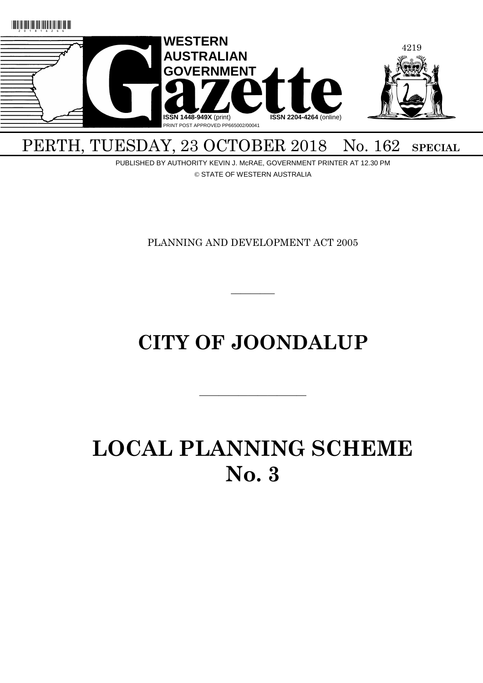

## PERTH, TUESDAY, 23 OCTOBER 2018 No. 162 SPECIAL

PUBLISHED BY AUTHORITY KEVIN J. McRAE, GOVERNMENT PRINTER AT 12.30 PM © STATE OF WESTERN AUSTRALIA

PLANNING AND DEVELOPMENT ACT 2005

 $\overline{\phantom{a}}$ 

## **CITY OF JOONDALUP**

 $\overline{\phantom{a}}$  , and the contract of the contract of the contract of the contract of the contract of the contract of the contract of the contract of the contract of the contract of the contract of the contract of the contrac

# **LOCAL PLANNING SCHEME No. 3**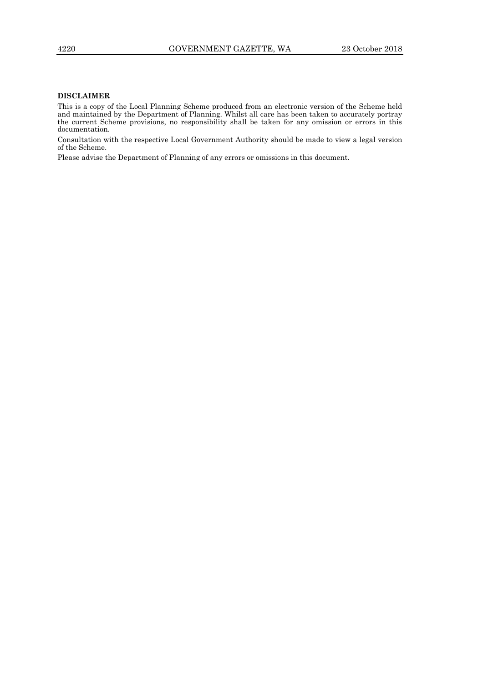### **DISCLAIMER**

This is a copy of the Local Planning Scheme produced from an electronic version of the Scheme held and maintained by the Department of Planning. Whilst all care has been taken to accurately portray the current Scheme provisions, no responsibility shall be taken for any omission or errors in this documentation.

Consultation with the respective Local Government Authority should be made to view a legal version of the Scheme.

Please advise the Department of Planning of any errors or omissions in this document.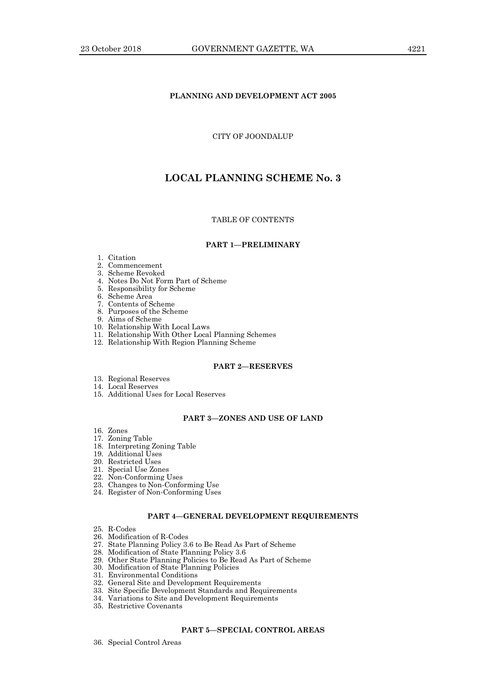### **PLANNING AND DEVELOPMENT ACT 2005**

### CITY OF JOONDALUP

### **LOCAL PLANNING SCHEME No. 3**

### TABLE OF CONTENTS

### **PART 1—PRELIMINARY**

### 1. Citation

- 2. Commencement
- 3. Scheme Revoked
- 4. Notes Do Not Form Part of Scheme
- 5. Responsibility for Scheme
- 6. Scheme Area
- 7. Contents of Scheme
- 8. Purposes of the Scheme
- 9. Aims of Scheme
- 10. Relationship With Local Laws
- 11. Relationship With Other Local Planning Schemes
- 12. Relationship With Region Planning Scheme

### **PART 2—RESERVES**

- 13. Regional Reserves
- 14. Local Reserves
- 15. Additional Uses for Local Reserves

### **PART 3—ZONES AND USE OF LAND**

- 16. Zones
- 17. Zoning Table
- 18. Interpreting Zoning Table
- 19. Additional Uses
- 20. Restricted Uses
- 21. Special Use Zones
- 22. Non-Conforming Uses
- 23. Changes to Non-Conforming Use
- 24. Register of Non-Conforming Uses

### **PART 4—GENERAL DEVELOPMENT REQUIREMENTS**

- 25. R-Codes
- 26. Modification of R-Codes
- 27. State Planning Policy 3.6 to Be Read As Part of Scheme
- 28. Modification of State Planning Policy 3.6
- 29. Other State Planning Policies to Be Read As Part of Scheme
- 30. Modification of State Planning Policies
- 31. Environmental Conditions
- 32. General Site and Development Requirements
- 33. Site Specific Development Standards and Requirements
- 34. Variations to Site and Development Requirements
- 35. Restrictive Covenants

### **PART 5—SPECIAL CONTROL AREAS**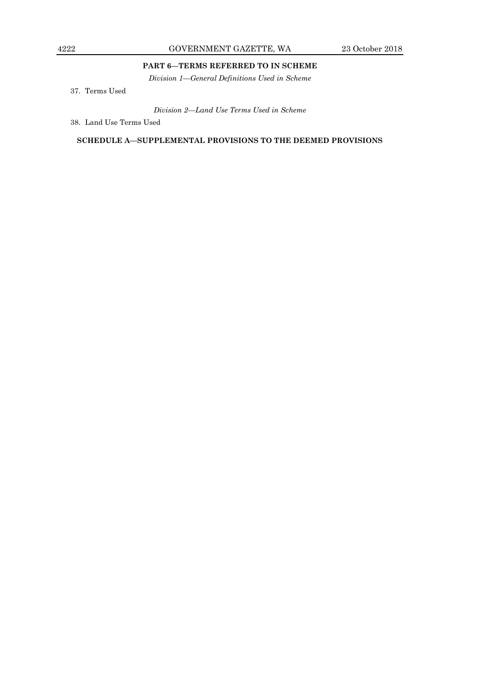### **PART 6—TERMS REFERRED TO IN SCHEME**

*Division 1—General Definitions Used in Scheme*

37. Terms Used

*Division 2—Land Use Terms Used in Scheme*

38. Land Use Terms Used

**SCHEDULE A—SUPPLEMENTAL PROVISIONS TO THE DEEMED PROVISIONS**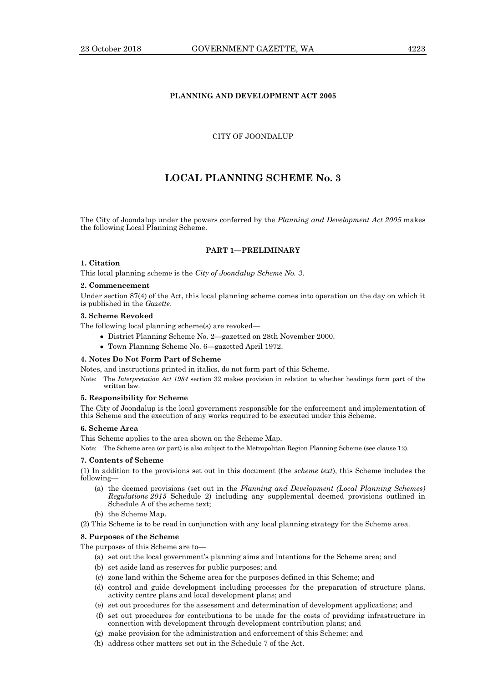### **PLANNING AND DEVELOPMENT ACT 2005**

### CITY OF JOONDALUP

### **LOCAL PLANNING SCHEME No. 3**

The City of Joondalup under the powers conferred by the *Planning and Development Act 2005* makes the following Local Planning Scheme.

### **PART 1—PRELIMINARY**

### **1. Citation**

This local planning scheme is the *City of Joondalup Scheme No. 3*.

#### **2. Commencement**

Under section 87(4) of the Act, this local planning scheme comes into operation on the day on which it is published in the *Gazette*.

### **3. Scheme Revoked**

The following local planning scheme(s) are revoked—

- District Planning Scheme No. 2—gazetted on 28th November 2000.
- Town Planning Scheme No. 6—gazetted April 1972.

### **4. Notes Do Not Form Part of Scheme**

Notes, and instructions printed in italics, do not form part of this Scheme.

Note: The *Interpretation Act 1984* section 32 makes provision in relation to whether headings form part of the written law.

### **5. Responsibility for Scheme**

The City of Joondalup is the local government responsible for the enforcement and implementation of this Scheme and the execution of any works required to be executed under this Scheme.

### **6. Scheme Area**

This Scheme applies to the area shown on the Scheme Map.

Note: The Scheme area (or part) is also subject to the Metropolitan Region Planning Scheme (see clause 12).

### **7. Contents of Scheme**

(1) In addition to the provisions set out in this document (the *scheme text*), this Scheme includes the following—

- (a) the deemed provisions (set out in the *Planning and Development (Local Planning Schemes) Regulations 2015* Schedule 2) including any supplemental deemed provisions outlined in Schedule A of the scheme text;
- (b) the Scheme Map.
- (2) This Scheme is to be read in conjunction with any local planning strategy for the Scheme area.

### **8. Purposes of the Scheme**

The purposes of this Scheme are to—

- (a) set out the local government's planning aims and intentions for the Scheme area; and
- (b) set aside land as reserves for public purposes; and
- (c) zone land within the Scheme area for the purposes defined in this Scheme; and
- (d) control and guide development including processes for the preparation of structure plans, activity centre plans and local development plans; and
- (e) set out procedures for the assessment and determination of development applications; and
- (f) set out procedures for contributions to be made for the costs of providing infrastructure in connection with development through development contribution plans; and
- (g) make provision for the administration and enforcement of this Scheme; and
- (h) address other matters set out in the Schedule 7 of the Act.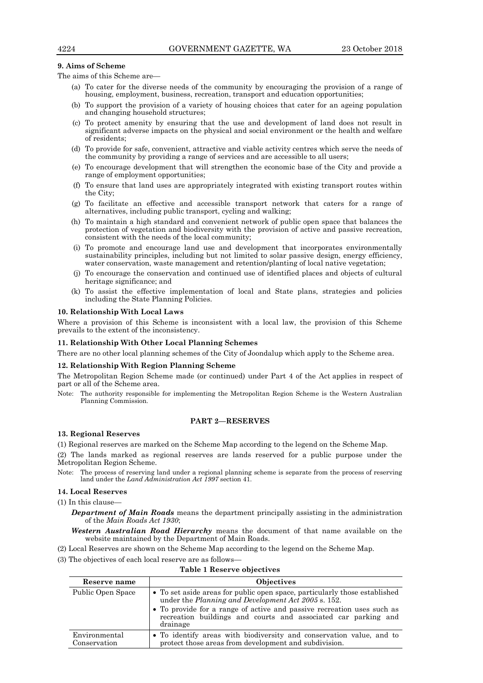### **9. Aims of Scheme**

The aims of this Scheme are—

- (a) To cater for the diverse needs of the community by encouraging the provision of a range of housing, employment, business, recreation, transport and education opportunities;
- (b) To support the provision of a variety of housing choices that cater for an ageing population and changing household structures;
- (c) To protect amenity by ensuring that the use and development of land does not result in significant adverse impacts on the physical and social environment or the health and welfare of residents;
- (d) To provide for safe, convenient, attractive and viable activity centres which serve the needs of the community by providing a range of services and are accessible to all users;
- (e) To encourage development that will strengthen the economic base of the City and provide a range of employment opportunities;
- (f) To ensure that land uses are appropriately integrated with existing transport routes within the City;
- (g) To facilitate an effective and accessible transport network that caters for a range of alternatives, including public transport, cycling and walking;
- (h) To maintain a high standard and convenient network of public open space that balances the protection of vegetation and biodiversity with the provision of active and passive recreation, consistent with the needs of the local community;
- (i) To promote and encourage land use and development that incorporates environmentally sustainability principles, including but not limited to solar passive design, energy efficiency, water conservation, waste management and retention/planting of local native vegetation;
- (j) To encourage the conservation and continued use of identified places and objects of cultural heritage significance; and
- (k) To assist the effective implementation of local and State plans, strategies and policies including the State Planning Policies.

### **10. Relationship With Local Laws**

Where a provision of this Scheme is inconsistent with a local law, the provision of this Scheme prevails to the extent of the inconsistency.

#### **11. Relationship With Other Local Planning Schemes**

There are no other local planning schemes of the City of Joondalup which apply to the Scheme area.

### **12. Relationship With Region Planning Scheme**

The Metropolitan Region Scheme made (or continued) under Part 4 of the Act applies in respect of part or all of the Scheme area.

Note: The authority responsible for implementing the Metropolitan Region Scheme is the Western Australian Planning Commission.

### **PART 2—RESERVES**

### **13. Regional Reserves**

(1) Regional reserves are marked on the Scheme Map according to the legend on the Scheme Map.

(2) The lands marked as regional reserves are lands reserved for a public purpose under the Metropolitan Region Scheme.

Note: The process of reserving land under a regional planning scheme is separate from the process of reserving land under the *Land Administration Act 1997* section 41.

### **14. Local Reserves**

(1) In this clause—

*Department of Main Roads* means the department principally assisting in the administration of the *Main Roads Act 1930*;

*Western Australian Road Hierarchy* means the document of that name available on the website maintained by the Department of Main Roads.

(2) Local Reserves are shown on the Scheme Map according to the legend on the Scheme Map.

(3) The objectives of each local reserve are as follows—

#### **Table 1 Reserve objectives**

| Reserve name                  | <b>Objectives</b>                                                                                                                                                                                                                                                                                |
|-------------------------------|--------------------------------------------------------------------------------------------------------------------------------------------------------------------------------------------------------------------------------------------------------------------------------------------------|
| Public Open Space             | • To set aside areas for public open space, particularly those established<br>under the <i>Planning and Development Act 2005</i> s. 152.<br>• To provide for a range of active and passive recreation uses such as<br>recreation buildings and courts and associated car parking and<br>drainage |
| Environmental<br>Conservation | • To identify areas with biodiversity and conservation value, and to<br>protect those areas from development and subdivision.                                                                                                                                                                    |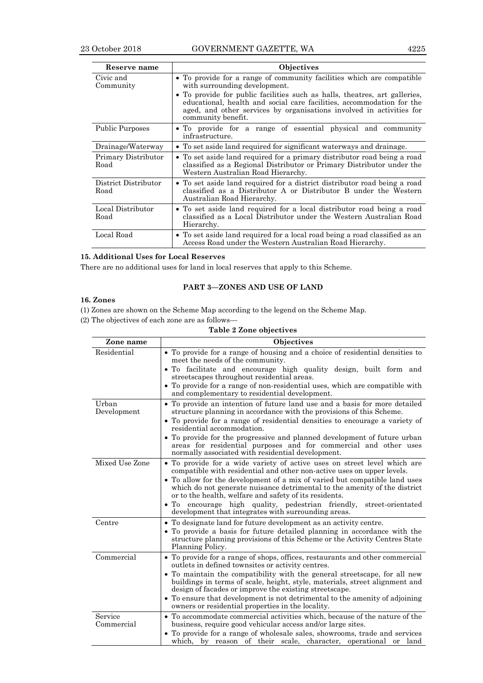| Reserve name                 | Objectives                                                                                                                                                                                                                                                                                                                                                  |  |  |  |
|------------------------------|-------------------------------------------------------------------------------------------------------------------------------------------------------------------------------------------------------------------------------------------------------------------------------------------------------------------------------------------------------------|--|--|--|
| Civic and<br>Community       | • To provide for a range of community facilities which are compatible<br>with surrounding development.<br>• To provide for public facilities such as halls, theatres, art galleries,<br>educational, health and social care facilities, accommodation for the<br>aged, and other services by organisations involved in activities for<br>community benefit. |  |  |  |
| <b>Public Purposes</b>       | • To provide for a range of essential physical and community<br>infrastructure.                                                                                                                                                                                                                                                                             |  |  |  |
| Drainage/Waterway            | • To set aside land required for significant waterways and drainage.                                                                                                                                                                                                                                                                                        |  |  |  |
| Primary Distributor<br>Road  | • To set aside land required for a primary distributor road being a road<br>classified as a Regional Distributor or Primary Distributor under the<br>Western Australian Road Hierarchy.                                                                                                                                                                     |  |  |  |
| District Distributor<br>Road | • To set aside land required for a district distributor road being a road<br>classified as a Distributor A or Distributor B under the Western<br>Australian Road Hierarchy.                                                                                                                                                                                 |  |  |  |
| Local Distributor<br>Road    | • To set aside land required for a local distributor road being a road<br>classified as a Local Distributor under the Western Australian Road<br>Hierarchy.                                                                                                                                                                                                 |  |  |  |
| Local Road                   | • To set aside land required for a local road being a road classified as an<br>Access Road under the Western Australian Road Hierarchy.                                                                                                                                                                                                                     |  |  |  |

### **15. Additional Uses for Local Reserves**

There are no additional uses for land in local reserves that apply to this Scheme.

### **PART 3—ZONES AND USE OF LAND**

### **16. Zones**

(1) Zones are shown on the Scheme Map according to the legend on the Scheme Map.

(2) The objectives of each zone are as follows—

**Table 2 Zone objectives**

| Zone name             | Objectives                                                                                                                                                                                                          |  |  |  |  |  |
|-----------------------|---------------------------------------------------------------------------------------------------------------------------------------------------------------------------------------------------------------------|--|--|--|--|--|
| Residential           | • To provide for a range of housing and a choice of residential densities to<br>meet the needs of the community.                                                                                                    |  |  |  |  |  |
|                       | . To facilitate and encourage high quality design, built form and<br>streets capes throughout residential areas.                                                                                                    |  |  |  |  |  |
|                       | • To provide for a range of non-residential uses, which are compatible with<br>and complementary to residential development.                                                                                        |  |  |  |  |  |
| Urban<br>Development  | • To provide an intention of future land use and a basis for more detailed<br>structure planning in accordance with the provisions of this Scheme.                                                                  |  |  |  |  |  |
|                       | • To provide for a range of residential densities to encourage a variety of<br>residential accommodation.                                                                                                           |  |  |  |  |  |
|                       | • To provide for the progressive and planned development of future urban<br>areas for residential purposes and for commercial and other uses<br>normally associated with residential development.                   |  |  |  |  |  |
| Mixed Use Zone        | • To provide for a wide variety of active uses on street level which are<br>compatible with residential and other non-active uses on upper levels.                                                                  |  |  |  |  |  |
|                       | • To allow for the development of a mix of varied but compatible land uses<br>which do not generate nuisance detrimental to the amenity of the district<br>or to the health, welfare and safety of its residents.   |  |  |  |  |  |
|                       | • To encourage high quality, pedestrian friendly,<br>street-orientated<br>development that integrates with surrounding areas.                                                                                       |  |  |  |  |  |
| Centre                | • To designate land for future development as an activity centre.                                                                                                                                                   |  |  |  |  |  |
|                       | • To provide a basis for future detailed planning in accordance with the<br>structure planning provisions of this Scheme or the Activity Centres State<br>Planning Policy.                                          |  |  |  |  |  |
| Commercial            | • To provide for a range of shops, offices, restaurants and other commercial<br>outlets in defined townsites or activity centres.                                                                                   |  |  |  |  |  |
|                       | • To maintain the compatibility with the general streetscape, for all new<br>buildings in terms of scale, height, style, materials, street alignment and<br>design of facades or improve the existing streets cape. |  |  |  |  |  |
|                       | • To ensure that development is not detrimental to the amenity of adjoining<br>owners or residential properties in the locality.                                                                                    |  |  |  |  |  |
| Service<br>Commercial | • To accommodate commercial activities which, because of the nature of the<br>business, require good vehicular access and/or large sites.                                                                           |  |  |  |  |  |
|                       | • To provide for a range of wholesale sales, showrooms, trade and services<br>which, by reason of their scale, character, operational or land                                                                       |  |  |  |  |  |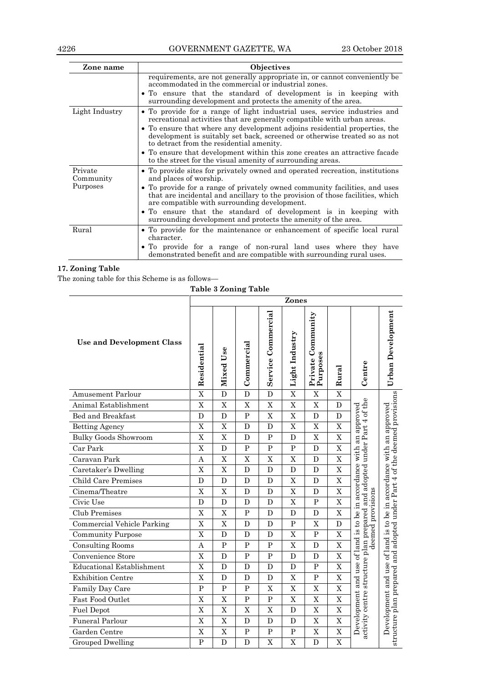| Zone name            | <b>Objectives</b>                                                                                                                                                                                           |
|----------------------|-------------------------------------------------------------------------------------------------------------------------------------------------------------------------------------------------------------|
|                      | requirements, are not generally appropriate in, or cannot conveniently be<br>accommodated in the commercial or industrial zones.                                                                            |
|                      | • To ensure that the standard of development is in keeping with<br>surrounding development and protects the amenity of the area.                                                                            |
| Light Industry       | • To provide for a range of light industrial uses, service industries and<br>recreational activities that are generally compatible with urban areas.                                                        |
|                      | • To ensure that where any development adjoins residential properties, the<br>development is suitably set back, screened or otherwise treated so as not<br>to detract from the residential amenity.         |
|                      | • To ensure that development within this zone creates an attractive facade<br>to the street for the visual amenity of surrounding areas.                                                                    |
| Private<br>Community | • To provide sites for privately owned and operated recreation, institutions<br>and places of worship.                                                                                                      |
| Purposes             | • To provide for a range of privately owned community facilities, and uses<br>that are incidental and ancillary to the provision of those facilities, which<br>are compatible with surrounding development. |
|                      | • To ensure that the standard of development is in keeping with<br>surrounding development and protects the amenity of the area.                                                                            |
| Rural                | • To provide for the maintenance or enhancement of specific local rural<br>character.                                                                                                                       |
|                      | • To provide for a range of non-rural land uses where they have<br>demonstrated benefit and are compatible with surrounding rural uses.                                                                     |

### **17. Zoning Table**

The zoning table for this Scheme is as follows—

**Table 3 Zoning Table**

|                                   |                         | Zones          |                         |                       |                         |                               |                         |                                                                                                                |                                                                                          |
|-----------------------------------|-------------------------|----------------|-------------------------|-----------------------|-------------------------|-------------------------------|-------------------------|----------------------------------------------------------------------------------------------------------------|------------------------------------------------------------------------------------------|
| <b>Use and Development Class</b>  | Residential             | Use<br>Mixed   | Commercial              | Commercial<br>Service | Light Industry          | Private Community<br>Purposes | Rural                   | Centre                                                                                                         | Urban Development                                                                        |
| <b>Amusement Parlour</b>          | $\overline{\mathrm{x}}$ | D              | D                       | D                     | $\overline{\mathrm{X}}$ | X                             | $\overline{\mathrm{X}}$ |                                                                                                                |                                                                                          |
| Animal Establishment              | X                       | $\overline{X}$ | $\mathbf X$             | $\mathbf X$           | $\overline{X}$          | X                             | D                       |                                                                                                                |                                                                                          |
| Bed and Breakfast                 | D                       | D              | $\overline{P}$          | X                     | X                       | D                             | D                       |                                                                                                                |                                                                                          |
| <b>Betting Agency</b>             | X                       | X              | D                       | D                     | X                       | $\mathbf X$                   | X                       | and adopted under Part 4 of the                                                                                | an approved                                                                              |
| <b>Bulky Goods Showroom</b>       | X                       | X              | D                       | $\mathbf{P}$          | D                       | X                             | X                       |                                                                                                                |                                                                                          |
| Car Park                          | X                       | ${\bf D}$      | $\overline{\mathrm{P}}$ | $\overline{P}$        | $\mathbf P$             | D                             | $\overline{X}$          |                                                                                                                |                                                                                          |
| Caravan Park                      | A                       | $\overline{X}$ | X                       | $\overline{X}$        | $\overline{X}$          | D                             | $\overline{\text{X}}$   |                                                                                                                |                                                                                          |
| Caretaker's Dwelling              | X                       | X              | D                       | D                     | D                       | $\mathbf{D}$                  | $\overline{X}$          |                                                                                                                | accordance with                                                                          |
| Child Care Premises               | D                       | D              | D                       | D                     | X                       | D                             | X                       |                                                                                                                |                                                                                          |
| Cinema/Theatre                    | X                       | $\mathbf X$    | D                       | D                     | X                       | D                             | $\overline{X}$          |                                                                                                                |                                                                                          |
| Civic Use                         | D                       | $\mathbf D$    | D                       | D                     | X                       | $\mathbf{P}$                  | X                       | deemed provisions                                                                                              |                                                                                          |
| Club Premises                     | X                       | X              | $\mathbf{P}$            | D                     | D                       | D                             | X                       |                                                                                                                | of land is to be in                                                                      |
| <b>Commercial Vehicle Parking</b> | X                       | $\overline{X}$ | D                       | D                     | $\overline{P}$          | X                             | D                       |                                                                                                                |                                                                                          |
| <b>Community Purpose</b>          | X                       | D              | D                       | D                     | X                       | $\mathbf{P}$                  | $\overline{X}$          |                                                                                                                |                                                                                          |
| <b>Consulting Rooms</b>           | A                       | $\mathbf{P}$   | $\overline{P}$          | $\mathbf{P}$          | X                       | D                             | $\overline{X}$          |                                                                                                                |                                                                                          |
| Convenience Store                 | X                       | D              | $\overline{P}$          | $\mathbf P$           | D                       | D                             | $\overline{X}$          |                                                                                                                |                                                                                          |
| <b>Educational Establishment</b>  | X                       | D              | D                       | D                     | D                       | $\overline{P}$                | X                       |                                                                                                                | use                                                                                      |
| <b>Exhibition Centre</b>          | X                       | D              | D                       | D                     | X                       | $\mathbf{P}$                  | X                       |                                                                                                                | and                                                                                      |
| Family Day Care                   | $\mathbf{P}$            | P              | $\mathbf{P}$            | X                     | $\overline{X}$          | X                             | X                       |                                                                                                                |                                                                                          |
| Fast Food Outlet                  | X                       | $\overline{X}$ | $\overline{P}$          | $\mathbf P$           | $\overline{X}$          | X                             | $\overline{X}$          |                                                                                                                |                                                                                          |
| <b>Fuel Depot</b>                 | $\overline{X}$          | $\overline{X}$ | $\overline{X}$          | $\overline{X}$        | $\overline{D}$          | $\overline{X}$                | $\overline{\mathrm{X}}$ |                                                                                                                |                                                                                          |
| <b>Funeral Parlour</b>            | X                       | $\mathbf X$    | D                       | D                     | D                       | X                             | X                       | Development and use of land is to be in accordance with an approved<br>activity centre structure plan prepared | structure plan prepared and adopted under Part 4 of the deemed provisions<br>Development |
| Garden Centre                     | X                       | $\mathbf X$    | $\mathbf P$             | $\mathbf P$           | $\mathbf{P}$            | X                             | $\mathbf X$             |                                                                                                                |                                                                                          |
| <b>Grouped Dwelling</b>           | $\overline{\mathrm{P}}$ | D              | $\overline{D}$          | X                     | X                       | D                             | $\overline{X}$          |                                                                                                                |                                                                                          |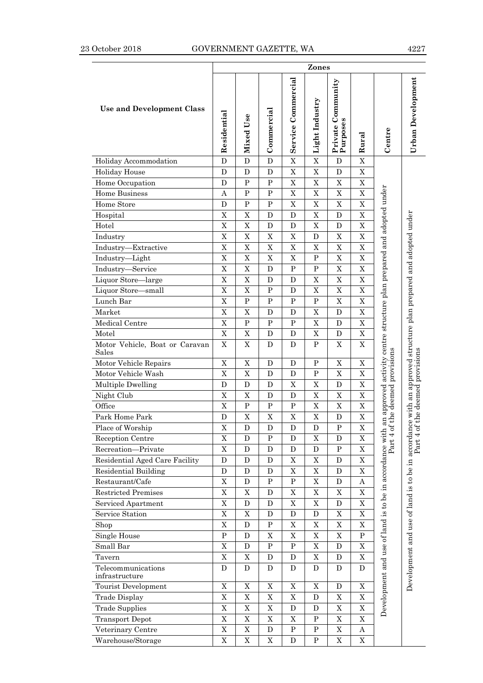|                                         |                           |             |             |                    | Zones          |                               |             |                                                                       |                                                                                   |
|-----------------------------------------|---------------------------|-------------|-------------|--------------------|----------------|-------------------------------|-------------|-----------------------------------------------------------------------|-----------------------------------------------------------------------------------|
| <b>Use and Development Class</b>        | Residential               | Mixed Use   | Commercial  | Service Commercial | Light Industry | Private Community<br>Purposes | Rural       | Centre                                                                | Urban Development                                                                 |
| Holiday Accommodation                   | D                         | D           | D           | $\mathbf X$        | X              | D                             | X           |                                                                       |                                                                                   |
| <b>Holiday House</b>                    | D                         | D           | D           | $\mathbf X$        | $\mathbf X$    | D                             | X           |                                                                       |                                                                                   |
| Home Occupation                         | D                         | ${\bf P}$   | ${\bf P}$   | $\mathbf X$        | X              | $\mathbf X$                   | X           |                                                                       |                                                                                   |
| <b>Home Business</b>                    | Α                         | $\mathbf P$ | $\mathbf P$ | X                  | X              | X                             | X           |                                                                       |                                                                                   |
| Home Store                              | D                         | ${\bf P}$   | ${\bf P}$   | $\rm X$            | $\overline{X}$ | $\mathbf X$                   | X           |                                                                       |                                                                                   |
| Hospital                                | $\mathbf X$               | $\mathbf X$ | D           | D                  | $\overline{X}$ | D                             | X           |                                                                       |                                                                                   |
| Hotel                                   | $\rm X$                   | $\mathbf X$ | D           | D                  | $\mathbf X$    | D                             | X           |                                                                       |                                                                                   |
| Industry                                | $\mathbf X$               | $\mathbf X$ | X           | $\mathbf X$        | D              | X                             | X           |                                                                       |                                                                                   |
| Industry-Extractive                     | $\mathbf X$               | $\mathbf X$ | X           | $\mathbf X$        | $\mathbf X$    | X                             | Χ           |                                                                       |                                                                                   |
| Industry-Light                          | $\mathbf X$               | $\mathbf X$ | X           | $\mathbf X$        | ${\bf P}$      | $\mathbf X$                   | X           |                                                                       |                                                                                   |
| Industry-Service                        | X                         | $\mathbf X$ | D           | $\mathbf P$        | $\mathbf P$    | $\mathbf X$                   | X           |                                                                       |                                                                                   |
| Liquor Store-large                      | $\mathbf X$               | $\mathbf X$ | D           | D                  | X              | $\mathbf X$                   | X           |                                                                       |                                                                                   |
| Liquor Store-small                      | $\boldsymbol{\mathrm{X}}$ | $\mathbf X$ | $\mathbf P$ | D                  | X              | X                             | Χ           |                                                                       |                                                                                   |
| Lunch Bar                               | $\mathbf X$               | ${\bf P}$   | ${\bf P}$   | ${\bf P}$          | ${\bf P}$      | $\mathbf X$                   | X           |                                                                       |                                                                                   |
| Market                                  | $\overline{X}$            | $\mathbf X$ | D           | D                  | X              | D                             | X           |                                                                       |                                                                                   |
| Medical Centre                          | $\mathbf X$               | $\mathbf P$ | P           | $\mathbf P$        | X              | D                             | X           |                                                                       |                                                                                   |
| Motel                                   | $\mathbf X$               | $\mathbf X$ | D           | D                  | X              | D                             | X           |                                                                       |                                                                                   |
| Motor Vehicle, Boat or Caravan<br>Sales | $\mathbf X$               | $\mathbf X$ | D           | D                  | ${\bf P}$      | X                             | X           | an approved activity centre structure plan prepared and adopted under | approved structure plan prepared and adopted under                                |
| Motor Vehicle Repairs                   | X                         | X           | D           | D                  | P              | X                             | X           |                                                                       |                                                                                   |
| Motor Vehicle Wash                      | $\mathbf X$               | $\mathbf X$ | D           | D                  | $\mathbf P$    | $\mathbf X$                   | X           | provisions                                                            | of the deemed provisions                                                          |
| Multiple Dwelling                       | D                         | D           | D           | $\mathbf X$        | X              | $\mathbf D$                   | X           |                                                                       |                                                                                   |
| Night Club                              | X                         | $\mathbf X$ | D           | D                  | X              | X                             | X           |                                                                       |                                                                                   |
| Office                                  | $\mathbf X$               | ${\bf P}$   | $\mathbf P$ | $\mathbf P$        | X              | X                             | X           |                                                                       |                                                                                   |
| Park Home Park                          | $\mathbf D$               | $\mathbf X$ | X           | $\mathbf X$        | X              | $\mathbf D$                   | X           |                                                                       |                                                                                   |
| Place of Worship                        | $\mathbf X$               | $\mathbf D$ | $\mathbf D$ | $\mathbf D$        | $\mathbf D$    | ${\bf P}$                     | X           | of the deemed                                                         |                                                                                   |
| Reception Centre                        | $\mathbf X$               | D           | ${\bf P}$   | D                  | X              | D                             | X           | $\overline{\phantom{0}}$                                              |                                                                                   |
| Recreation-Private                      | $\mathbf X$               | D           | D           | ${\bf D}$          | $\mathbf D$    | ${\bf P}$                     | Χ           | Part                                                                  |                                                                                   |
| Residential Aged Care Facility          | D                         | D           | D           | $\mathbf X$        | $\mathbf X$    | D                             | X           |                                                                       |                                                                                   |
| <b>Residential Building</b>             | D                         | D           | D           | $\mathbf X$        | X              | D                             | $\mathbf X$ |                                                                       |                                                                                   |
| Restaurant/Cafe                         | $\mathbf X$               | D           | ${\bf P}$   | ${\bf P}$          | $\mathbf X$    | ${\bf D}$                     | Α           |                                                                       |                                                                                   |
| <b>Restricted Premises</b>              | $\mathbf X$               | $\mathbf X$ | D           | $\mathbf X$        | $\mathbf X$    | $\mathbf X$                   | $\mathbf X$ |                                                                       |                                                                                   |
| Serviced Apartment                      | $\mathbf X$               | D           | D           | $\mathbf X$        | X              | ${\bf D}$                     | X           |                                                                       |                                                                                   |
| Service Station                         | $\mathbf X$               | $\mathbf X$ | D           | D                  | D              | $\mathbf X$                   | X           |                                                                       |                                                                                   |
| Shop                                    | $\mathbf X$               | D           | $\mathbf P$ | X                  | X              | $\mathbf X$                   | X           |                                                                       |                                                                                   |
| Single House                            | ${\bf P}$                 | D           | X           | $\mathbf X$        | $\mathbf X$    | $\mathbf X$                   | ${\bf P}$   |                                                                       |                                                                                   |
| Small Bar                               | $\overline{X}$            | D           | ${\bf P}$   | ${\bf P}$          | X              | D                             | $\mathbf X$ |                                                                       |                                                                                   |
| Tavern                                  | $\mathbf X$               | $\mathbf X$ | D           | D                  | $\mathbf X$    | D                             | $\mathbf X$ |                                                                       |                                                                                   |
| Telecommunications<br>infrastructure    | D                         | D           | D           | D                  | D              | D                             | D           | Development and use of land is to be in accordance with               | Development and use of land is to be in accordance with an<br>Part 4 of the deeme |
| Tourist Development                     | $\mathbf X$               | $\mathbf X$ | $\mathbf X$ | $\mathbf X$        | $\mathbf X$    | D                             | $\mathbf X$ |                                                                       |                                                                                   |
| Trade Display                           | $\mathbf X$               | $\mathbf X$ | $\mathbf X$ | $\mathbf X$        | ${\bf D}$      | $\mathbf X$                   | X           |                                                                       |                                                                                   |
| <b>Trade Supplies</b>                   | $\mathbf X$               | $\mathbf X$ | $\mathbf X$ | ${\bf D}$          | ${\bf D}$      | $\mathbf X$                   | X           |                                                                       |                                                                                   |
| <b>Transport Depot</b>                  | $\mathbf X$               | $\mathbf X$ | $\mathbf X$ | $\mathbf X$        | ${\bf P}$      | $\mathbf X$                   | $\mathbf X$ |                                                                       |                                                                                   |
| Veterinary Centre                       | $\mathbf X$               | $\mathbf X$ | ${\bf D}$   | ${\bf P}$          | ${\bf P}$      | $\mathbf X$                   | Α           |                                                                       |                                                                                   |
| Warehouse/Storage                       | $\mathbf X$               | X           | X           | D                  | ${\bf P}$      | $\mathbf X$                   | X           |                                                                       |                                                                                   |
|                                         |                           |             |             |                    |                |                               |             |                                                                       |                                                                                   |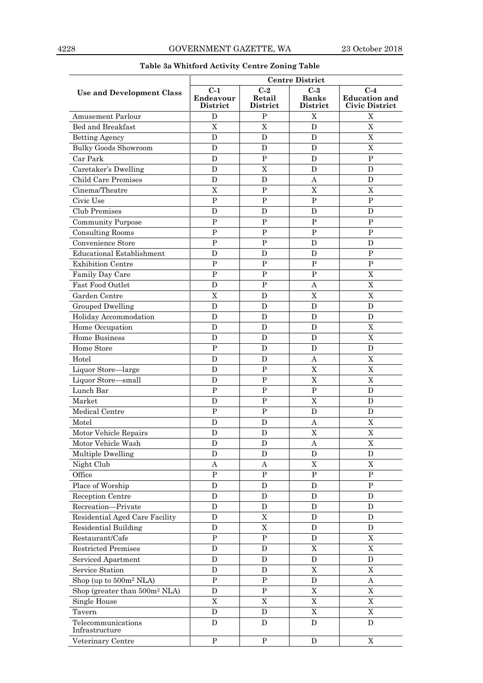|                                           |                                              | <b>Centre District</b>      |                                   |                                                        |  |  |  |  |
|-------------------------------------------|----------------------------------------------|-----------------------------|-----------------------------------|--------------------------------------------------------|--|--|--|--|
| Use and Development Class                 | $C-1$<br><b>Endeavour</b><br><b>District</b> | $C-2$<br>Retail<br>District | $C-3$<br><b>Banks</b><br>District | $C-4$<br><b>Education and</b><br><b>Civic District</b> |  |  |  |  |
| <b>Amusement Parlour</b>                  | D                                            | $\mathbf{P}$                | $\mathbf X$                       | X                                                      |  |  |  |  |
| Bed and Breakfast                         | X                                            | $\boldsymbol{\mathrm{X}}$   | D                                 | X                                                      |  |  |  |  |
| <b>Betting Agency</b>                     | D                                            | D                           | D                                 | X                                                      |  |  |  |  |
| <b>Bulky Goods Showroom</b>               | D                                            | D                           | D                                 | X                                                      |  |  |  |  |
| Car Park                                  | D                                            | $\mathbf P$                 | D                                 | $\mathbf{P}$                                           |  |  |  |  |
| Caretaker's Dwelling                      | D                                            | $\mathbf X$                 | D                                 | D                                                      |  |  |  |  |
| <b>Child Care Premises</b>                | D                                            | $\mathbf D$                 | А                                 | D                                                      |  |  |  |  |
| Cinema/Theatre                            | X                                            | ${\bf P}$                   | $\mathbf X$                       | X                                                      |  |  |  |  |
| Civic Use                                 | $\mathbf P$                                  | P                           | ${\bf P}$                         | $\mathbf{P}$                                           |  |  |  |  |
| Club Premises                             | D                                            | D                           | D                                 | D                                                      |  |  |  |  |
| <b>Community Purpose</b>                  | $\mathbf P$                                  | $\mathbf P$                 | $\mathbf P$                       | $\mathbf{P}$                                           |  |  |  |  |
| <b>Consulting Rooms</b>                   | $\overline{P}$                               | $\mathbf P$                 | $\mathbf P$                       | P                                                      |  |  |  |  |
| Convenience Store                         | $\mathbf P$                                  | $\mathbf P$                 | D                                 | D                                                      |  |  |  |  |
| <b>Educational Establishment</b>          | D                                            | D                           | D                                 | $\mathbf P$                                            |  |  |  |  |
| <b>Exhibition Centre</b>                  | P                                            | $\mathbf{P}$                | $\mathbf{P}$                      | $\mathbf{P}$                                           |  |  |  |  |
| Family Day Care                           | $\mathbf{P}$                                 | $\mathbf{P}$                | ${\bf P}$                         | X                                                      |  |  |  |  |
| Fast Food Outlet                          | D                                            | $\mathbf{P}$                | А                                 | X                                                      |  |  |  |  |
| Garden Centre                             | $\boldsymbol{\mathrm{X}}$                    | D                           | $\overline{X}$                    | $\mathbf X$                                            |  |  |  |  |
| <b>Grouped Dwelling</b>                   | D                                            | $\mathbf D$                 | D                                 | $\mathbf D$                                            |  |  |  |  |
| Holiday Accommodation                     | D                                            | D                           | D                                 | D                                                      |  |  |  |  |
| Home Occupation                           | D                                            | D                           | D                                 | X                                                      |  |  |  |  |
| <b>Home Business</b>                      | D                                            | D                           | D                                 | X                                                      |  |  |  |  |
| Home Store                                | $\mathbf{P}$                                 | D                           | D                                 | D                                                      |  |  |  |  |
| Hotel                                     | D                                            | D                           | $\mathbf{A}$                      | $\mathbf X$                                            |  |  |  |  |
| Liquor Store-large                        | D                                            | $\mathbf{P}$                | $\mathbf X$                       | X                                                      |  |  |  |  |
| Liquor Store-small                        | D                                            | ${\bf P}$                   | $\mathbf X$                       | X                                                      |  |  |  |  |
| Lunch Bar                                 | P                                            | $\mathbf{P}$                | ${\bf P}$                         | D                                                      |  |  |  |  |
| Market                                    | D                                            | $\mathbf{P}$                | X                                 | D                                                      |  |  |  |  |
| Medical Centre                            | $\mathbf{P}$                                 | $\mathbf{P}$                | D                                 | D                                                      |  |  |  |  |
| Motel                                     | D                                            | D                           | Α                                 | $\mathbf X$                                            |  |  |  |  |
| Motor Vehicle Repairs                     | D                                            | D                           | X                                 | X                                                      |  |  |  |  |
| Motor Vehicle Wash                        | D                                            | D                           | Α                                 | $\mathbf X$                                            |  |  |  |  |
| Multiple Dwelling                         | D                                            | D                           | D                                 | D                                                      |  |  |  |  |
| Night Club                                | A                                            | Α                           | $\mathbf X$                       | $\mathbf X$                                            |  |  |  |  |
| Office                                    | ${\bf P}$                                    | ${\bf P}$                   | ${\bf P}$                         | $\mathbf P$                                            |  |  |  |  |
| Place of Worship                          | D                                            | $\mathbf D$                 | $\mathbf D$                       | $\mathbf P$                                            |  |  |  |  |
| Reception Centre                          | D                                            | D                           | D                                 | D                                                      |  |  |  |  |
| Recreation-Private                        | D                                            | D                           | D                                 | D                                                      |  |  |  |  |
| Residential Aged Care Facility            | D                                            | $\mathbf X$                 | D                                 | D                                                      |  |  |  |  |
| <b>Residential Building</b>               | D                                            | $\mathbf X$                 | $\mathbf D$                       | D                                                      |  |  |  |  |
| Restaurant/Cafe                           | ${\bf P}$                                    | ${\bf P}$                   | $\mathbf D$                       | $\mathbf X$                                            |  |  |  |  |
| <b>Restricted Premises</b>                | $\mathbf D$                                  | D                           | $\overline{X}$                    | $\overline{X}$                                         |  |  |  |  |
| Serviced Apartment                        | D                                            | D                           | $\mathbf D$                       | D                                                      |  |  |  |  |
| Service Station                           | D                                            | D                           | X                                 | X                                                      |  |  |  |  |
| Shop (up to 500m <sup>2</sup> NLA)        | ${\bf P}$                                    | $\, {\bf P}$                | $\mathbf D$                       | Α                                                      |  |  |  |  |
| Shop (greater than 500m <sup>2</sup> NLA) | D                                            | ${\bf P}$                   | $\mathbf X$                       | $\mathbf X$                                            |  |  |  |  |
| Single House                              | $\mathbf X$                                  | $\mathbf X$                 | $\mathbf X$                       | $\mathbf X$                                            |  |  |  |  |
| Tavern                                    | $\mathbf D$                                  | D                           | $\mathbf X$                       | $\mathbf X$                                            |  |  |  |  |
| Telecommunications<br>Infrastructure      | D                                            | D                           | D                                 | D                                                      |  |  |  |  |
| Veterinary Centre                         | ${\bf P}$                                    | $\mathbf P$                 | ${\bf D}$                         | $\mathbf X$                                            |  |  |  |  |

### **Table 3a Whitford Activity Centre Zoning Table**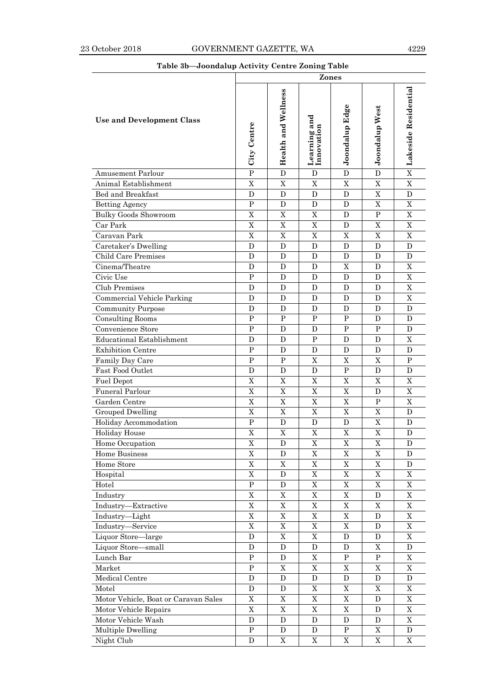### **Table 3b—Joondalup Activity Centre Zoning Table**

|                                      |                           |                     | Zones                      |                       |                       |                           |
|--------------------------------------|---------------------------|---------------------|----------------------------|-----------------------|-----------------------|---------------------------|
| <b>Use and Development Class</b>     | City Centre               | Health and Wellness | Learning and<br>Innovation | Joondalup Edge        | <b>Joondalup West</b> | Lakeside Residential      |
| Amusement Parlour                    | $\overline{P}$            | $\mathbf D$         | D                          | D                     | D                     | $\overline{\mathbf{X}}$   |
| Animal Establishment                 | X                         | $\mathbf X$         | $\mathbf X$                | X                     | $\mathbf X$           | $\mathbf X$               |
| Bed and Breakfast                    | D                         | D                   | D                          | D                     | $\mathbf X$           | D                         |
| <b>Betting Agency</b>                | P                         | D                   | D                          | D                     | X                     | X                         |
| <b>Bulky Goods Showroom</b>          | X                         | X                   | X                          | D                     | $\mathbf P$           | X                         |
| Car Park                             | $\boldsymbol{\mathrm{X}}$ | $\mathbf X$         | $\mathbf X$                | D                     | X                     | $\boldsymbol{\mathrm{X}}$ |
| Caravan Park                         | X                         | X                   | X                          | X                     | X                     | X                         |
| Caretaker's Dwelling                 | D                         | D                   | D                          | D                     | D                     | D                         |
| <b>Child Care Premises</b>           | D                         | D                   | D                          | D                     | D                     | D                         |
| Cinema/Theatre                       | D                         | D                   | D                          | X                     | D                     | X                         |
| Civic Use                            | ${\bf P}$                 | D                   | D                          | D                     | D                     | X                         |
| Club Premises                        | D                         | D                   | D                          | D                     | D                     | X                         |
| Commercial Vehicle Parking           | D                         | D                   | D                          | D                     | D                     | $\boldsymbol{\mathrm{X}}$ |
| <b>Community Purpose</b>             | $\mathbf D$               | D                   | $\mathbf D$                | $\mathbf D$           | D                     | $\mathbf{D}$              |
| <b>Consulting Rooms</b>              | $\mathbf{P}$              | $\, {\bf P}$        | ${\bf P}$                  | ${\bf P}$             | D                     | D                         |
| Convenience Store                    | $\mathbf{P}$              | D                   | D                          | P                     | $\mathbf{P}$          | $\mathbf{D}$              |
| <b>Educational Establishment</b>     | D                         | D                   | ${\bf P}$                  | D                     | D                     | X                         |
| <b>Exhibition Centre</b>             | $\mathbf P$               | D                   | D                          | D                     | D                     | D                         |
| Family Day Care                      | ${\bf P}$                 | P                   | X                          | X                     | X                     | P                         |
| Fast Food Outlet                     | D                         | D                   | D                          | P                     | D                     | D                         |
| <b>Fuel Depot</b>                    | $\boldsymbol{\mathrm{X}}$ | X                   | X                          | X                     | $\mathbf X$           | X                         |
| Funeral Parlour                      | X                         | X                   | X                          | X                     | D                     | $\mathbf X$               |
| Garden Centre                        | X                         | $\mathbf X$         | $\mathbf X$                | $\mathbf X$           | P                     | X                         |
| Grouped Dwelling                     | X                         | X                   | X                          | X                     | X                     | D                         |
| Holiday Accommodation                | ${\bf P}$                 | D                   | D                          | D                     | X                     | D                         |
| <b>Holiday House</b>                 | X                         | $\mathbf X$         | X                          | X                     | X                     | D                         |
| Home Occupation                      | $\mathbf X$               | D                   | $\mathbf X$                | $\mathbf X$           | $\mathbf X$           | D                         |
| Home Business                        | $\mathbf X$               | ${\bf D}$           | $\mathbf X$                | $\overline{X}$        | $\mathbf X$           | D                         |
| Home Store                           | X                         | $\mathbf X$         | $\mathbf X$                | $\mathbf X$           | $\mathbf X$           | ${\bf D}$                 |
| Hospital                             | X                         | D                   | $\mathbf X$                | $\overline{X}$        | $\mathbf X$           | $\mathbf X$               |
| Hotel                                | ${\bf P}$                 | D                   | $\mathbf X$                | $\mathbf X$           | $\mathbf X$           | $\mathbf X$               |
| Industry                             | X                         | $\mathbf X$         | $\mathbf X$                | $\overline{\text{X}}$ | D                     | $\mathbf X$               |
| Industry-Extractive                  | X                         | $\mathbf X$         | $\mathbf X$                | $\mathbf X$           | $\mathbf X$           | $\mathbf X$               |
| Industry-Light                       | $\mathbf X$               | $\mathbf X$         | $\mathbf X$                | $\mathbf X$           | D                     | $\mathbf X$               |
| Industry-Service                     | X                         | $\mathbf X$         | X                          | X                     | D                     | $\mathbf X$               |
| Liquor Store-large                   | ${\bf D}$                 | $\rm X$             | $\rm X$                    | ${\bf D}$             | ${\bf D}$             | $\mathbf X$               |
| Liquor Store-small                   | ${\bf D}$                 | ${\bf D}$           | ${\bf D}$                  | ${\bf D}$             | $\mathbf X$           | ${\bf D}$                 |
| Lunch Bar                            | ${\bf P}$                 | D                   | $\mathbf X$                | ${\bf P}$             | ${\bf P}$             | $\mathbf X$               |
| Market                               | ${\bf P}$                 | $\rm X$             | $\mathbf X$                | $\mathbf X$           | $\mathbf X$           | $\mathbf X$               |
| Medical Centre                       | ${\bf D}$                 | ${\rm D}$           | ${\bf D}$                  | ${\bf D}$             | ${\bf D}$             | ${\bf D}$                 |
| Motel                                | ${\bf D}$                 | ${\rm D}$           | $\mathbf X$                | $\mathbf X$           | $\mathbf X$           | $\mathbf X$               |
| Motor Vehicle, Boat or Caravan Sales | $\mathbf X$               | $\mathbf X$         | $\mathbf X$                | $\mathbf X$           | D                     | $\mathbf X$               |
| Motor Vehicle Repairs                | $\mathbf X$               | $\mathbf X$         | $\mathbf X$                | $\mathbf X$           | D                     | $\mathbf X$               |
| Motor Vehicle Wash                   | ${\bf D}$                 | ${\rm D}$           | ${\bf D}$                  | ${\bf D}$             | ${\bf D}$             | $\mathbf X$               |
| Multiple Dwelling                    | ${\bf P}$                 | D                   | D                          | ${\bf P}$             | $\mathbf X$           | D                         |
| Night Club                           | D                         | $\mathbf X$         | X                          | X                     | X                     | $\mathbf X$               |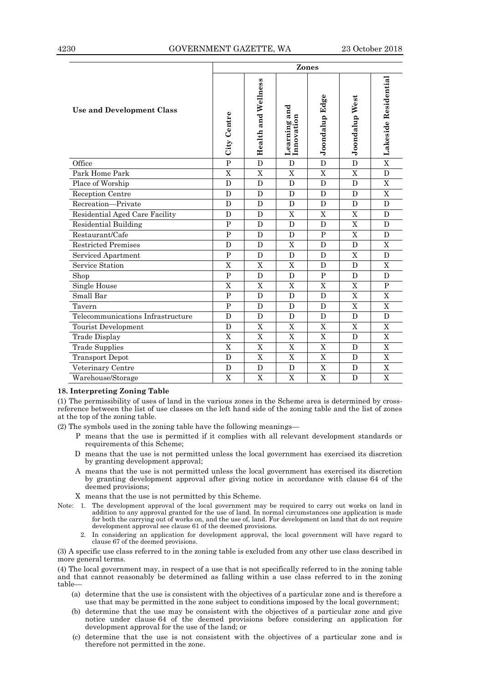|                                   |                | Zones               |                            |                |                |                      |  |  |  |
|-----------------------------------|----------------|---------------------|----------------------------|----------------|----------------|----------------------|--|--|--|
| Use and Development Class         | City Centre    | Health and Wellness | Learning and<br>Innovation | Joondalup Edge | Joondalup West | Lakeside Residential |  |  |  |
| Office                            | $\overline{P}$ | $\overline{D}$      | D                          | $\overline{D}$ | $\overline{D}$ | $\overline{X}$       |  |  |  |
| Park Home Park                    | X              | X                   | X                          | X              | X              | $\mathbf{D}$         |  |  |  |
| Place of Worship                  | D              | D                   | $\mathbf D$                | D              | $\mathbf D$    | $\mathbf X$          |  |  |  |
| Reception Centre                  | D              | D                   | D                          | D              | D              | X                    |  |  |  |
| Recreation-Private                | D              | D                   | D                          | D              | D              | $\mathbf{D}$         |  |  |  |
| Residential Aged Care Facility    | D              | D                   | X                          | X              | X              | D                    |  |  |  |
| <b>Residential Building</b>       | $\mathbf P$    | D                   | D                          | D              | $\mathbf X$    | D                    |  |  |  |
| Restaurant/Cafe                   | $\overline{P}$ | D                   | D                          | $\mathbf P$    | X              | D                    |  |  |  |
| <b>Restricted Premises</b>        | D              | D                   | X                          | D              | D              | X                    |  |  |  |
| Serviced Apartment                | $\overline{P}$ | D                   | D                          | D              | $\overline{X}$ | $\mathbf{D}$         |  |  |  |
| Service Station                   | X              | $\mathbf X$         | X                          | D              | D              | X                    |  |  |  |
| Shop                              | $\mathbf{P}$   | D                   | D                          | P              | D              | D                    |  |  |  |
| Single House                      | X              | $\mathbf X$         | X                          | X              | X              | $\mathbf{P}$         |  |  |  |
| Small Bar                         | $\mathbf{P}$   | D                   | D                          | D              | X              | X                    |  |  |  |
| Tavern                            | $\overline{P}$ | D                   | $\mathbf D$                | D              | $\overline{X}$ | $\overline{X}$       |  |  |  |
| Telecommunications Infrastructure | D              | D                   | D                          | D              | D              | D                    |  |  |  |
| Tourist Development               | D              | $\mathbf X$         | X                          | X              | X              | X                    |  |  |  |
| Trade Display                     | $\overline{X}$ | $\mathbf X$         | X                          | X              | D              | $\mathbf X$          |  |  |  |
| <b>Trade Supplies</b>             | X              | $\mathbf X$         | X                          | X              | D              | X                    |  |  |  |
| <b>Transport Depot</b>            | D              | $\mathbf X$         | X                          | X              | $\mathbf D$    | X                    |  |  |  |
| Veterinary Centre                 | D              | D                   | D                          | X              | D              | X                    |  |  |  |
| Warehouse/Storage                 | X              | X                   | X                          | X              | D              | X                    |  |  |  |

### **18. Interpreting Zoning Table**

(1) The permissibility of uses of land in the various zones in the Scheme area is determined by crossreference between the list of use classes on the left hand side of the zoning table and the list of zones at the top of the zoning table.

(2) The symbols used in the zoning table have the following meanings—

- P means that the use is permitted if it complies with all relevant development standards or requirements of this Scheme;
- D means that the use is not permitted unless the local government has exercised its discretion by granting development approval;
- A means that the use is not permitted unless the local government has exercised its discretion by granting development approval after giving notice in accordance with clause 64 of the deemed provisions;

X means that the use is not permitted by this Scheme.

- Note: 1. The development approval of the local government may be required to carry out works on land in addition to any approval granted for the use of land. In normal circumstances one application is made for both the carrying out of works on, and the use of, land. For development on land that do not require development approval see clause 61 of the deemed provisions.
	- 2. In considering an application for development approval, the local government will have regard to clause 67 of the deemed provisions.

(3) A specific use class referred to in the zoning table is excluded from any other use class described in more general terms.

(4) The local government may, in respect of a use that is not specifically referred to in the zoning table and that cannot reasonably be determined as falling within a use class referred to in the zoning table—

- (a) determine that the use is consistent with the objectives of a particular zone and is therefore a use that may be permitted in the zone subject to conditions imposed by the local government;
- (b) determine that the use may be consistent with the objectives of a particular zone and give notice under clause 64 of the deemed provisions before considering an application for development approval for the use of the land; or
- (c) determine that the use is not consistent with the objectives of a particular zone and is therefore not permitted in the zone.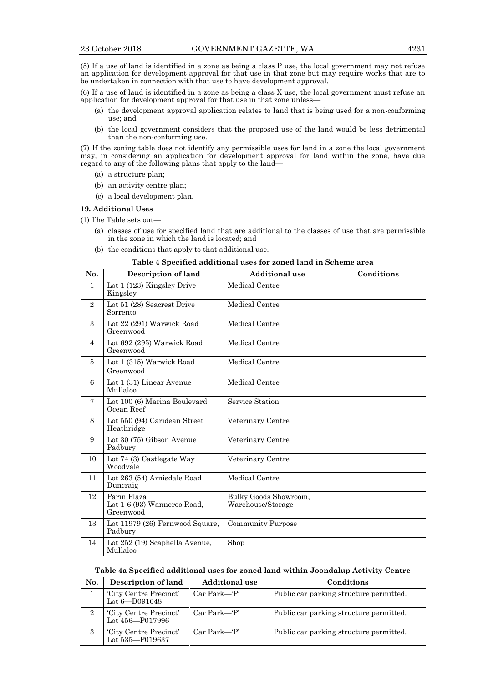(5) If a use of land is identified in a zone as being a class P use, the local government may not refuse an application for development approval for that use in that zone but may require works that are to be undertaken in connection with that use to have development approval.

(6) If a use of land is identified in a zone as being a class X use, the local government must refuse an application for development approval for that use in that zone unless—

- (a) the development approval application relates to land that is being used for a non-conforming use; and
- (b) the local government considers that the proposed use of the land would be less detrimental than the non-conforming use.

(7) If the zoning table does not identify any permissible uses for land in a zone the local government may, in considering an application for development approval for land within the zone, have due regard to any of the following plans that apply to the land—

- (a) a structure plan;
- (b) an activity centre plan;
- (c) a local development plan.

#### **19. Additional Uses**

(1) The Table sets out—

- (a) classes of use for specified land that are additional to the classes of use that are permissible in the zone in which the land is located; and
- (b) the conditions that apply to that additional use.

### **Table 4 Specified additional uses for zoned land in Scheme area**

| No.            | <b>Description of land</b>                              | <b>Additional use</b>                      | Conditions |
|----------------|---------------------------------------------------------|--------------------------------------------|------------|
| 1              | Lot 1 (123) Kingsley Drive<br>Kingsley                  | Medical Centre                             |            |
| $\overline{2}$ | Lot 51 (28) Seacrest Drive<br>Sorrento                  | Medical Centre                             |            |
| 3              | Lot 22 (291) Warwick Road<br>Greenwood                  | Medical Centre                             |            |
| $\overline{4}$ | Lot 692 (295) Warwick Road<br>Greenwood                 | Medical Centre                             |            |
| 5              | Lot 1 (315) Warwick Road<br>Greenwood                   | Medical Centre                             |            |
| 6              | Lot 1 (31) Linear Avenue<br>Mullaloo                    | Medical Centre                             |            |
| $\overline{7}$ | Lot 100 (6) Marina Boulevard<br>Ocean Reef              | Service Station                            |            |
| 8              | Lot 550 (94) Caridean Street<br>Heathridge              | Veterinary Centre                          |            |
| 9              | Lot 30 (75) Gibson Avenue<br>Padbury                    | Veterinary Centre                          |            |
| 10             | Lot 74 (3) Castlegate Way<br>Woodvale                   | Veterinary Centre                          |            |
| 11             | Lot 263 (54) Arnisdale Road<br>Duncraig                 | Medical Centre                             |            |
| 12             | Parin Plaza<br>Lot 1-6 (93) Wanneroo Road,<br>Greenwood | Bulky Goods Showroom,<br>Warehouse/Storage |            |
| 13             | Lot 11979 (26) Fernwood Square,<br>Padbury              | <b>Community Purpose</b>                   |            |
| 14             | Lot 252 (19) Scaphella Avenue,<br>Mullaloo              | Shop                                       |            |

### **Table 4a Specified additional uses for zoned land within Joondalup Activity Centre**

| No. | Description of land                         | <b>Additional use</b> | Conditions                              |
|-----|---------------------------------------------|-----------------------|-----------------------------------------|
|     | 'City Centre Precinct'<br>Lot $6 - D091648$ | $Car Park - P'$       | Public car parking structure permitted. |
| 2   | 'City Centre Precinct'<br>Lot 456-P017996   | $Car Park - P$        | Public car parking structure permitted. |
| 3   | 'City Centre Precinct'<br>Lot 535-P019637   | $Car Park - P'$       | Public car parking structure permitted. |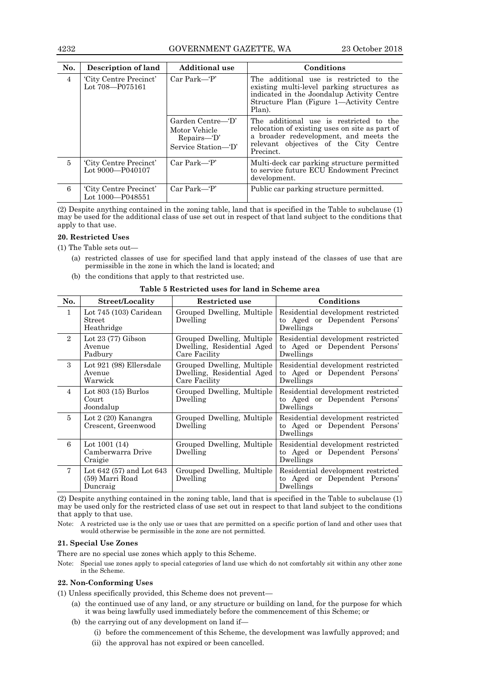### 4232 GOVERNMENT GAZETTE, WA 23 October 2018

| No.            | Description of land                        | <b>Additional use</b>                                                      | Conditions                                                                                                                                                                                 |
|----------------|--------------------------------------------|----------------------------------------------------------------------------|--------------------------------------------------------------------------------------------------------------------------------------------------------------------------------------------|
| $\overline{4}$ | 'City Centre Precinct'<br>Lot 708-P075161  | $Car Park - P$                                                             | The additional use is restricted to the<br>existing multi-level parking structures as<br>indicated in the Joondalup Activity Centre<br>Structure Plan (Figure 1—Activity Centre<br>Plan).  |
|                |                                            | Garden Centre—T'<br>Motor Vehicle<br>$Repairs - D'$<br>Service Station—'D' | The additional use is restricted to the<br>relocation of existing uses on site as part of<br>a broader redevelopment, and meets the<br>relevant objectives of the City Centre<br>Precinct. |
| 5              | 'City Centre Precinct'<br>Lot 9000-P040107 | $Car Park - P$                                                             | Multi-deck car parking structure permitted<br>to service future ECU Endowment Precinct<br>development.                                                                                     |
| 6              | 'City Centre Precinct'<br>Lot 1000-P048551 | $Car Park - P$                                                             | Public car parking structure permitted.                                                                                                                                                    |

(2) Despite anything contained in the zoning table, land that is specified in the Table to subclause (1) may be used for the additional class of use set out in respect of that land subject to the conditions that apply to that use.

### **20. Restricted Uses**

(1) The Table sets out—

- (a) restricted classes of use for specified land that apply instead of the classes of use that are permissible in the zone in which the land is located; and
- (b) the conditions that apply to that restricted use.

| No.            | Street/Locality                                            | Restricted use                                                            | Conditions                                                                       |
|----------------|------------------------------------------------------------|---------------------------------------------------------------------------|----------------------------------------------------------------------------------|
| $\mathbf{1}$   | Lot 745 (103) Caridean<br>Street<br>Heathridge             | Grouped Dwelling, Multiple<br>Dwelling                                    | Residential development restricted<br>to Aged or Dependent Persons'<br>Dwellings |
| $\overline{2}$ | Lot $23(77)$ Gibson<br>Avenue<br>Padbury                   | Grouped Dwelling, Multiple<br>Dwelling, Residential Aged<br>Care Facility | Residential development restricted<br>to Aged or Dependent Persons'<br>Dwellings |
| $\mathcal{S}$  | Lot 921 (98) Ellersdale<br>Avenue<br>Warwick               | Grouped Dwelling, Multiple<br>Dwelling, Residential Aged<br>Care Facility | Residential development restricted<br>to Aged or Dependent Persons'<br>Dwellings |
| $\overline{4}$ | Lot $803(15)$ Burlos<br>Court<br>Joondalup                 | Grouped Dwelling, Multiple<br>Dwelling                                    | Residential development restricted<br>to Aged or Dependent Persons'<br>Dwellings |
| $\overline{5}$ | Lot $2(20)$ Kanangra<br>Crescent, Greenwood                | Grouped Dwelling, Multiple<br>Dwelling                                    | Residential development restricted<br>to Aged or Dependent Persons'<br>Dwellings |
| 6              | Lot $1001(14)$<br>Camberwarra Drive<br>Craigie             | Grouped Dwelling, Multiple<br>Dwelling                                    | Residential development restricted<br>to Aged or Dependent Persons'<br>Dwellings |
| $\tau$         | Lot $642(57)$ and Lot $643$<br>(59) Marri Road<br>Duncraig | Grouped Dwelling, Multiple<br>Dwelling                                    | Residential development restricted<br>to Aged or Dependent Persons'<br>Dwellings |

**Table 5 Restricted uses for land in Scheme area**

(2) Despite anything contained in the zoning table, land that is specified in the Table to subclause (1) may be used only for the restricted class of use set out in respect to that land subject to the conditions that apply to that use.

Note: A restricted use is the only use or uses that are permitted on a specific portion of land and other uses that would otherwise be permissible in the zone are not permitted.

### **21. Special Use Zones**

There are no special use zones which apply to this Scheme.

Note: Special use zones apply to special categories of land use which do not comfortably sit within any other zone in the Scheme.

### **22. Non-Conforming Uses**

(1) Unless specifically provided, this Scheme does not prevent—

- (a) the continued use of any land, or any structure or building on land, for the purpose for which it was being lawfully used immediately before the commencement of this Scheme; or
- (b) the carrying out of any development on land if—
	- (i) before the commencement of this Scheme, the development was lawfully approved; and
	- (ii) the approval has not expired or been cancelled.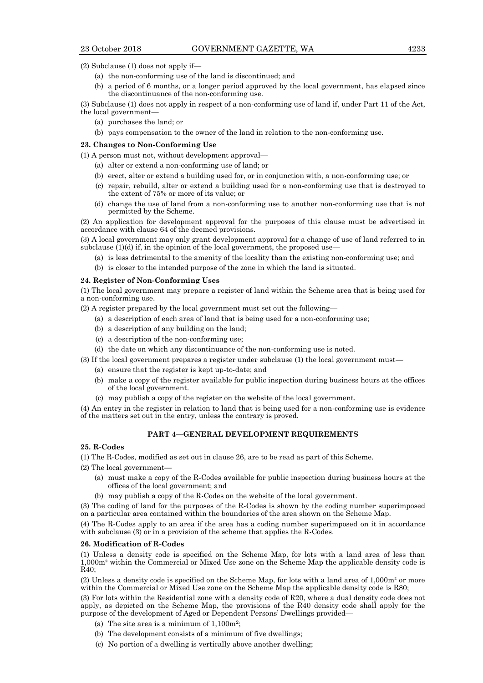(2) Subclause (1) does not apply if—

- (a) the non-conforming use of the land is discontinued; and
- (b) a period of 6 months, or a longer period approved by the local government, has elapsed since the discontinuance of the non-conforming use.

(3) Subclause (1) does not apply in respect of a non-conforming use of land if, under Part 11 of the Act, the local government—

- (a) purchases the land; or
- (b) pays compensation to the owner of the land in relation to the non-conforming use.

### **23. Changes to Non-Conforming Use**

- (1) A person must not, without development approval—
	- (a) alter or extend a non-conforming use of land; or
	- (b) erect, alter or extend a building used for, or in conjunction with, a non-conforming use; or
	- (c) repair, rebuild, alter or extend a building used for a non-conforming use that is destroyed to the extent of 75% or more of its value; or
	- (d) change the use of land from a non-conforming use to another non-conforming use that is not permitted by the Scheme.

(2) An application for development approval for the purposes of this clause must be advertised in accordance with clause 64 of the deemed provisions.

(3) A local government may only grant development approval for a change of use of land referred to in subclause  $(1)(d)$  if, in the opinion of the local government, the proposed use-

- (a) is less detrimental to the amenity of the locality than the existing non-conforming use; and
- (b) is closer to the intended purpose of the zone in which the land is situated.

### **24. Register of Non-Conforming Uses**

(1) The local government may prepare a register of land within the Scheme area that is being used for a non-conforming use.

(2) A register prepared by the local government must set out the following—

- (a) a description of each area of land that is being used for a non-conforming use;
- (b) a description of any building on the land;
- (c) a description of the non-conforming use;
- (d) the date on which any discontinuance of the non-conforming use is noted.

(3) If the local government prepares a register under subclause (1) the local government must—

- (a) ensure that the register is kept up-to-date; and
- (b) make a copy of the register available for public inspection during business hours at the offices of the local government.
- (c) may publish a copy of the register on the website of the local government.

(4) An entry in the register in relation to land that is being used for a non-conforming use is evidence of the matters set out in the entry, unless the contrary is proved.

### **PART 4—GENERAL DEVELOPMENT REQUIREMENTS**

### **25. R-Codes**

(1) The R-Codes, modified as set out in clause 26, are to be read as part of this Scheme.

- (2) The local government—
	- (a) must make a copy of the R-Codes available for public inspection during business hours at the offices of the local government; and
	- (b) may publish a copy of the R-Codes on the website of the local government.

(3) The coding of land for the purposes of the R-Codes is shown by the coding number superimposed on a particular area contained within the boundaries of the area shown on the Scheme Map.

(4) The R-Codes apply to an area if the area has a coding number superimposed on it in accordance with subclause (3) or in a provision of the scheme that applies the R-Codes.

#### **26. Modification of R-Codes**

(1) Unless a density code is specified on the Scheme Map, for lots with a land area of less than 1,000m² within the Commercial or Mixed Use zone on the Scheme Map the applicable density code is R40;

(2) Unless a density code is specified on the Scheme Map, for lots with a land area of 1,000m² or more within the Commercial or Mixed Use zone on the Scheme Map the applicable density code is R80;

(3) For lots within the Residential zone with a density code of R20, where a dual density code does not apply, as depicted on the Scheme Map, the provisions of the R40 density code shall apply for the purpose of the development of Aged or Dependent Persons' Dwellings provided—

- (a) The site area is a minimum of  $1,100m^2$ ;
- (b) The development consists of a minimum of five dwellings;
- (c) No portion of a dwelling is vertically above another dwelling;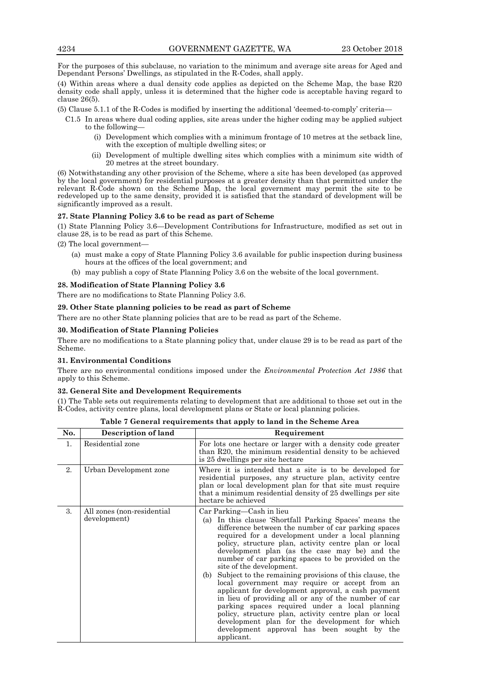For the purposes of this subclause, no variation to the minimum and average site areas for Aged and Dependant Persons' Dwellings, as stipulated in the R-Codes, shall apply.

(4) Within areas where a dual density code applies as depicted on the Scheme Map, the base R20 density code shall apply, unless it is determined that the higher code is acceptable having regard to clause 26(5).

- (5) Clause 5.1.1 of the R-Codes is modified by inserting the additional 'deemed-to-comply' criteria—
	- C1.5 In areas where dual coding applies, site areas under the higher coding may be applied subject to the following—
		- (i) Development which complies with a minimum frontage of 10 metres at the setback line, with the exception of multiple dwelling sites; or
		- (ii) Development of multiple dwelling sites which complies with a minimum site width of 20 metres at the street boundary.

(6) Notwithstanding any other provision of the Scheme, where a site has been developed (as approved by the local government) for residential purposes at a greater density than that permitted under the relevant R-Code shown on the Scheme Map, the local government may permit the site to be redeveloped up to the same density, provided it is satisfied that the standard of development will be significantly improved as a result.

### **27. State Planning Policy 3.6 to be read as part of Scheme**

(1) State Planning Policy 3.6—Development Contributions for Infrastructure, modified as set out in clause 28, is to be read as part of this Scheme.

(2) The local government—

- (a) must make a copy of State Planning Policy 3.6 available for public inspection during business hours at the offices of the local government; and
- (b) may publish a copy of State Planning Policy 3.6 on the website of the local government.

### **28. Modification of State Planning Policy 3.6**

There are no modifications to State Planning Policy 3.6.

### **29. Other State planning policies to be read as part of Scheme**

There are no other State planning policies that are to be read as part of the Scheme.

### **30. Modification of State Planning Policies**

There are no modifications to a State planning policy that, under clause 29 is to be read as part of the Scheme.

### **31. Environmental Conditions**

There are no environmental conditions imposed under the *Environmental Protection Act 1986* that apply to this Scheme.

### **32. General Site and Development Requirements**

(1) The Table sets out requirements relating to development that are additional to those set out in the R-Codes, activity centre plans, local development plans or State or local planning policies.

| No. | Description of land                         | Requirement                                                                                                                                                                                                                                                                                                                                                                                                                                                                                                                                                                                                                                                                                                                                                                                                                                            |  |
|-----|---------------------------------------------|--------------------------------------------------------------------------------------------------------------------------------------------------------------------------------------------------------------------------------------------------------------------------------------------------------------------------------------------------------------------------------------------------------------------------------------------------------------------------------------------------------------------------------------------------------------------------------------------------------------------------------------------------------------------------------------------------------------------------------------------------------------------------------------------------------------------------------------------------------|--|
| 1.  | Residential zone                            | For lots one hectare or larger with a density code greater<br>than R20, the minimum residential density to be achieved<br>is 25 dwellings per site hectare                                                                                                                                                                                                                                                                                                                                                                                                                                                                                                                                                                                                                                                                                             |  |
| 2.  | Urban Development zone                      | Where it is intended that a site is to be developed for<br>residential purposes, any structure plan, activity centre<br>plan or local development plan for that site must require<br>that a minimum residential density of 25 dwellings per site<br>hectare be achieved                                                                                                                                                                                                                                                                                                                                                                                                                                                                                                                                                                                |  |
| 3.  | All zones (non-residential)<br>development) | Car Parking—Cash in lieu<br>(a) In this clause Shortfall Parking Spaces' means the<br>difference between the number of car parking spaces<br>required for a development under a local planning<br>policy, structure plan, activity centre plan or local<br>development plan (as the case may be) and the<br>number of car parking spaces to be provided on the<br>site of the development.<br>Subject to the remaining provisions of this clause, the<br>(b)<br>local government may require or accept from an<br>applicant for development approval, a cash payment<br>in lieu of providing all or any of the number of car<br>parking spaces required under a local planning<br>policy, structure plan, activity centre plan or local<br>development plan for the development for which<br>development approval has been sought by the<br>applicant. |  |

**Table 7 General requirements that apply to land in the Scheme Area**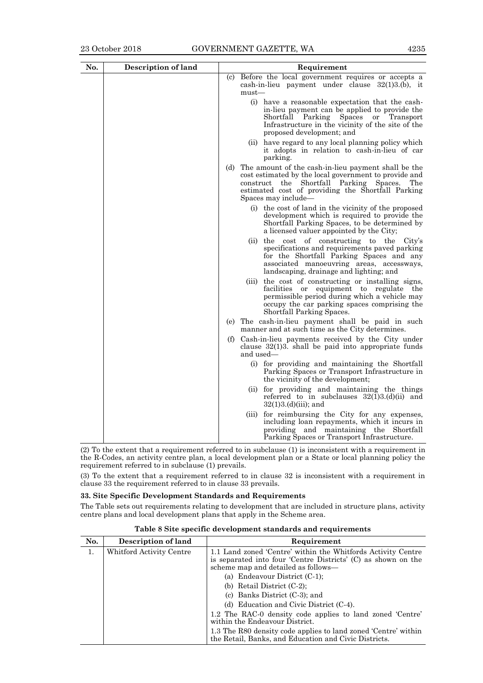| No. | <b>Description of land</b> | Requirement |           |                                                                                                                                                                                                                                            |
|-----|----------------------------|-------------|-----------|--------------------------------------------------------------------------------------------------------------------------------------------------------------------------------------------------------------------------------------------|
|     |                            | (c)         | $must$ —  | Before the local government requires or accepts a<br>cash-in-lieu payment under clause $32(1)3(6)$ , it                                                                                                                                    |
|     |                            |             |           | (i) have a reasonable expectation that the cash-<br>in-lieu payment can be applied to provide the<br>Shortfall<br>Parking<br>Spaces or Transport<br>Infrastructure in the vicinity of the site of the<br>proposed development; and         |
|     |                            |             |           | (ii) have regard to any local planning policy which<br>it adopts in relation to cash-in-lieu of car<br>parking.                                                                                                                            |
|     |                            | (d)         |           | The amount of the cash-in-lieu payment shall be the<br>cost estimated by the local government to provide and<br>construct the Shortfall Parking Spaces.<br>The<br>estimated cost of providing the Shortfall Parking<br>Spaces may include— |
|     |                            |             |           | (i) the cost of land in the vicinity of the proposed<br>development which is required to provide the<br>Shortfall Parking Spaces, to be determined by<br>a licensed valuer appointed by the City;                                          |
|     |                            |             | (ii)      | the cost of constructing to the<br>City's<br>specifications and requirements paved parking<br>for the Shortfall Parking Spaces and any<br>associated manoeuvring areas, accessways,<br>landscaping, drainage and lighting; and             |
|     |                            |             | (iii)     | the cost of constructing or installing signs,<br>facilities or equipment to regulate the<br>permissible period during which a vehicle may<br>occupy the car parking spaces comprising the<br>Shortfall Parking Spaces.                     |
|     |                            |             |           | (e) The cash-in-lieu payment shall be paid in such<br>manner and at such time as the City determines.                                                                                                                                      |
|     |                            | (f)         | and used— | Cash-in-lieu payments received by the City under<br>clause $32(1)3$ . shall be paid into appropriate funds                                                                                                                                 |
|     |                            |             |           | (i) for providing and maintaining the Shortfall<br>Parking Spaces or Transport Infrastructure in<br>the vicinity of the development;                                                                                                       |
|     |                            |             |           | (ii) for providing and maintaining the things<br>referred to in subclauses $32(1)3(d)(ii)$ and<br>$32(1)3.(d)(iii);$ and                                                                                                                   |
|     |                            |             | (iii)     | for reimbursing the City for any expenses,<br>including loan repayments, which it incurs in<br>and maintaining the<br>providing<br>Shortfall<br>Parking Spaces or Transport Infrastructure.                                                |

(2) To the extent that a requirement referred to in subclause (1) is inconsistent with a requirement in the R-Codes, an activity centre plan, a local development plan or a State or local planning policy the requirement referred to in subclause (1) prevails.

(3) To the extent that a requirement referred to in clause 32 is inconsistent with a requirement in clause 33 the requirement referred to in clause 33 prevails.

### **33. Site Specific Development Standards and Requirements**

The Table sets out requirements relating to development that are included in structure plans, activity centre plans and local development plans that apply in the Scheme area.

| No. | Description of land      | Requirement                                                                                                             |  |
|-----|--------------------------|-------------------------------------------------------------------------------------------------------------------------|--|
| 1.  | Whitford Activity Centre | 1.1 Land zoned 'Centre' within the Whitfords Activity Centre                                                            |  |
|     |                          | is separated into four 'Centre Districts' (C) as shown on the<br>scheme map and detailed as follows—                    |  |
|     |                          | (a) Endeavour District $(C-1)$ ;                                                                                        |  |
|     |                          | (b) Retail District $(C-2)$ ;                                                                                           |  |
|     |                          | (c) Banks District $(C-3)$ ; and                                                                                        |  |
|     |                          | (d) Education and Civic District $(C-4)$ .                                                                              |  |
|     |                          | 1.2 The RAC-0 density code applies to land zoned 'Centre'<br>within the Endeavour District.                             |  |
|     |                          | 1.3 The R80 density code applies to land zoned 'Centre' within<br>the Retail, Banks, and Education and Civic Districts. |  |

**Table 8 Site specific development standards and requirements**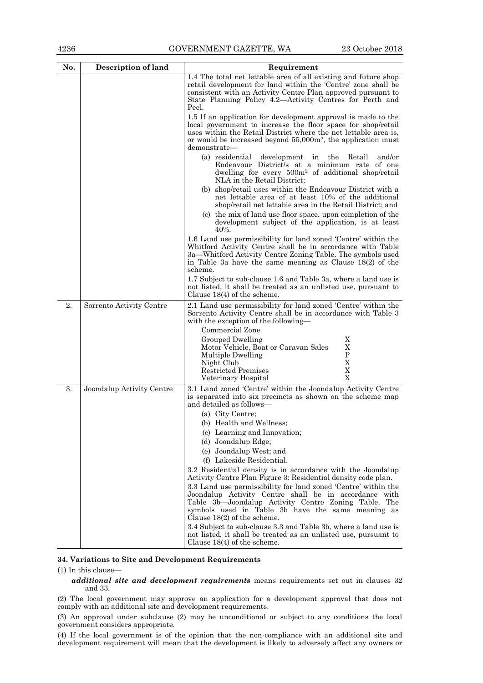| No. | <b>Description of land</b> | Requirement                                                                                                                                                                                                                                                                                                                            |
|-----|----------------------------|----------------------------------------------------------------------------------------------------------------------------------------------------------------------------------------------------------------------------------------------------------------------------------------------------------------------------------------|
|     |                            | 1.4 The total net lettable area of all existing and future shop<br>retail development for land within the 'Centre' zone shall be<br>consistent with an Activity Centre Plan approved pursuant to<br>State Planning Policy 4.2—Activity Centres for Perth and<br>Peel.                                                                  |
|     |                            | 1.5 If an application for development approval is made to the<br>local government to increase the floor space for shop/retail<br>uses within the Retail District where the net lettable area is,<br>or would be increased beyond $55,000m^2$ , the application must<br>demonstrate-                                                    |
|     |                            | (a) residential<br>development<br>in the<br>Retail<br>and/or<br>Endeavour District/s at a minimum rate of one<br>dwelling for every 500m <sup>2</sup> of additional shop/retail<br>NLA in the Retail District;                                                                                                                         |
|     |                            | (b) shop/retail uses within the Endeavour District with a<br>net lettable area of at least 10% of the additional<br>shop/retail net lettable area in the Retail District; and                                                                                                                                                          |
|     |                            | (c) the mix of land use floor space, upon completion of the<br>development subject of the application, is at least<br>40%.                                                                                                                                                                                                             |
|     |                            | 1.6 Land use permissibility for land zoned 'Centre' within the<br>Whitford Activity Centre shall be in accordance with Table<br>3a—Whitford Activity Centre Zoning Table. The symbols used<br>in Table 3a have the same meaning as Clause 18(2) of the<br>scheme.                                                                      |
|     |                            | 1.7 Subject to sub-clause 1.6 and Table 3a, where a land use is<br>not listed, it shall be treated as an unlisted use, pursuant to<br>Clause $18(4)$ of the scheme.                                                                                                                                                                    |
| 2.  | Sorrento Activity Centre   | 2.1 Land use permissibility for land zoned 'Centre' within the<br>Sorrento Activity Centre shall be in accordance with Table 3<br>with the exception of the following—                                                                                                                                                                 |
|     |                            | Commercial Zone<br>X<br>Grouped Dwelling<br>X<br>Motor Vehicle, Boat or Caravan Sales<br>P<br>Multiple Dwelling<br>X<br>Night Club<br>X<br>Restricted Premises<br>X<br>Veterinary Hospital                                                                                                                                             |
| 3.  | Joondalup Activity Centre  | 3.1 Land zoned 'Centre' within the Joondalup Activity Centre<br>is separated into six precincts as shown on the scheme map<br>and detailed as follows-                                                                                                                                                                                 |
|     |                            | (a) City Centre;<br>(b) Health and Wellness;<br>(c) Learning and Innovation;<br>(d) Joondalup Edge;<br>(e) Joondalup West; and<br>(f) Lakeside Residential.<br>3.2 Residential density is in accordance with the Joondalup                                                                                                             |
|     |                            | Activity Centre Plan Figure 3: Residential density code plan.<br>3.3 Land use permissibility for land zoned 'Centre' within the<br>Joondalup Activity Centre shall be in accordance with<br>Table 3b-Joondalup Activity Centre Zoning Table. The<br>symbols used in Table 3b have the same meaning as<br>Clause $18(2)$ of the scheme. |
|     |                            | 3.4 Subject to sub-clause 3.3 and Table 3b, where a land use is<br>not listed, it shall be treated as an unlisted use, pursuant to<br>Clause $18(4)$ of the scheme.                                                                                                                                                                    |

### **34. Variations to Site and Development Requirements**

(1) In this clause—

### *additional site and development requirements* means requirements set out in clauses 32 and 33.

(2) The local government may approve an application for a development approval that does not comply with an additional site and development requirements.

(3) An approval under subclause (2) may be unconditional or subject to any conditions the local government considers appropriate.

(4) If the local government is of the opinion that the non-compliance with an additional site and development requirement will mean that the development is likely to adversely affect any owners or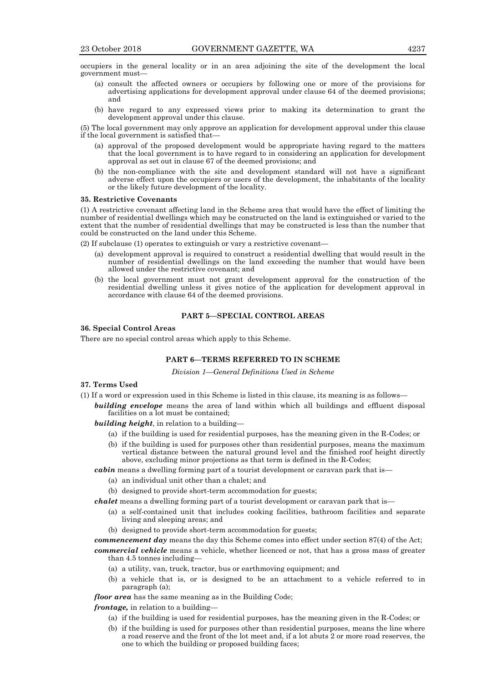occupiers in the general locality or in an area adjoining the site of the development the local government must—

- (a) consult the affected owners or occupiers by following one or more of the provisions for advertising applications for development approval under clause 64 of the deemed provisions; and
- (b) have regard to any expressed views prior to making its determination to grant the development approval under this clause.

(5) The local government may only approve an application for development approval under this clause if the local government is satisfied that—

- (a) approval of the proposed development would be appropriate having regard to the matters that the local government is to have regard to in considering an application for development approval as set out in clause 67 of the deemed provisions; and
- (b) the non-compliance with the site and development standard will not have a significant adverse effect upon the occupiers or users of the development, the inhabitants of the locality or the likely future development of the locality.

#### **35. Restrictive Covenants**

(1) A restrictive covenant affecting land in the Scheme area that would have the effect of limiting the number of residential dwellings which may be constructed on the land is extinguished or varied to the extent that the number of residential dwellings that may be constructed is less than the number that could be constructed on the land under this Scheme.

(2) If subclause (1) operates to extinguish or vary a restrictive covenant—

- (a) development approval is required to construct a residential dwelling that would result in the number of residential dwellings on the land exceeding the number that would have been allowed under the restrictive covenant; and
- (b) the local government must not grant development approval for the construction of the residential dwelling unless it gives notice of the application for development approval in accordance with clause 64 of the deemed provisions.

### **PART 5—SPECIAL CONTROL AREAS**

### **36. Special Control Areas**

There are no special control areas which apply to this Scheme.

### **PART 6—TERMS REFERRED TO IN SCHEME**

*Division 1—General Definitions Used in Scheme*

- **37. Terms Used**
- (1) If a word or expression used in this Scheme is listed in this clause, its meaning is as follows—

*building envelope* means the area of land within which all buildings and effluent disposal facilities on a lot must be contained;

- *building height*, in relation to a building—
	- (a) if the building is used for residential purposes, has the meaning given in the R-Codes; or
	- (b) if the building is used for purposes other than residential purposes, means the maximum vertical distance between the natural ground level and the finished roof height directly above, excluding minor projections as that term is defined in the R-Codes;

*cabin* means a dwelling forming part of a tourist development or caravan park that is—

- (a) an individual unit other than a chalet; and
- (b) designed to provide short-term accommodation for guests;

*chalet* means a dwelling forming part of a tourist development or caravan park that is—

- (a) a self-contained unit that includes cooking facilities, bathroom facilities and separate living and sleeping areas; and
- (b) designed to provide short-term accommodation for guests;

*commencement day* means the day this Scheme comes into effect under section 87(4) of the Act; *commercial vehicle* means a vehicle, whether licenced or not, that has a gross mass of greater than 4.5 tonnes including—

- (a) a utility, van, truck, tractor, bus or earthmoving equipment; and
- (b) a vehicle that is, or is designed to be an attachment to a vehicle referred to in paragraph (a);
- *floor area* has the same meaning as in the Building Code;

*frontage,* in relation to a building—

- (a) if the building is used for residential purposes, has the meaning given in the R-Codes; or
- (b) if the building is used for purposes other than residential purposes, means the line where a road reserve and the front of the lot meet and, if a lot abuts 2 or more road reserves, the one to which the building or proposed building faces;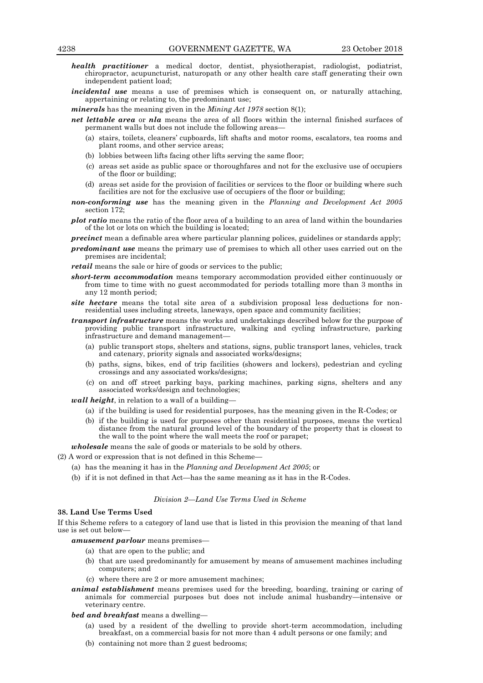- *health practitioner* a medical doctor, dentist, physiotherapist, radiologist, podiatrist, chiropractor, acupuncturist, naturopath or any other health care staff generating their own independent patient load;
- *incidental use* means a use of premises which is consequent on, or naturally attaching, appertaining or relating to, the predominant use;

*minerals* has the meaning given in the *Mining Act 1978* section 8(1);

- *net lettable area* or *nla* means the area of all floors within the internal finished surfaces of permanent walls but does not include the following areas—
	- (a) stairs, toilets, cleaners' cupboards, lift shafts and motor rooms, escalators, tea rooms and plant rooms, and other service areas;
	- (b) lobbies between lifts facing other lifts serving the same floor;
	- (c) areas set aside as public space or thoroughfares and not for the exclusive use of occupiers of the floor or building;
	- (d) areas set aside for the provision of facilities or services to the floor or building where such facilities are not for the exclusive use of occupiers of the floor or building;
- *non-conforming use* has the meaning given in the *Planning and Development Act 2005* section 172;
- *plot ratio* means the ratio of the floor area of a building to an area of land within the boundaries of the lot or lots on which the building is located;
- *precinct* mean a definable area where particular planning polices, guidelines or standards apply;
- *predominant use* means the primary use of premises to which all other uses carried out on the premises are incidental;

*retail* means the sale or hire of goods or services to the public;

- *short-term accommodation* means temporary accommodation provided either continuously or from time to time with no guest accommodated for periods totalling more than 3 months in any 12 month period;
- *site hectare* means the total site area of a subdivision proposal less deductions for nonresidential uses including streets, laneways, open space and community facilities;
- *transport infrastructure* means the works and undertakings described below for the purpose of providing public transport infrastructure, walking and cycling infrastructure, parking infrastructure and demand management—
	- (a) public transport stops, shelters and stations, signs, public transport lanes, vehicles, track and catenary, priority signals and associated works/designs;
	- (b) paths, signs, bikes, end of trip facilities (showers and lockers), pedestrian and cycling crossings and any associated works/designs;
	- (c) on and off street parking bays, parking machines, parking signs, shelters and any associated works/design and technologies;

*wall height*, in relation to a wall of a building—

- (a) if the building is used for residential purposes, has the meaning given in the R-Codes; or
- (b) if the building is used for purposes other than residential purposes, means the vertical distance from the natural ground level of the boundary of the property that is closest to the wall to the point where the wall meets the roof or parapet;

*wholesale* means the sale of goods or materials to be sold by others.

(2) A word or expression that is not defined in this Scheme—

- (a) has the meaning it has in the *Planning and Development Act 2005*; or
- (b) if it is not defined in that Act—has the same meaning as it has in the R-Codes.

### *Division 2—Land Use Terms Used in Scheme*

### **38. Land Use Terms Used**

If this Scheme refers to a category of land use that is listed in this provision the meaning of that land use is set out below—

*amusement parlour* means premises—

- (a) that are open to the public; and
- (b) that are used predominantly for amusement by means of amusement machines including computers; and
- (c) where there are 2 or more amusement machines;
- *animal establishment* means premises used for the breeding, boarding, training or caring of animals for commercial purposes but does not include animal husbandry—intensive or veterinary centre.
- *bed and breakfast* means a dwelling—
	- (a) used by a resident of the dwelling to provide short-term accommodation, including breakfast, on a commercial basis for not more than 4 adult persons or one family; and
	- (b) containing not more than 2 guest bedrooms;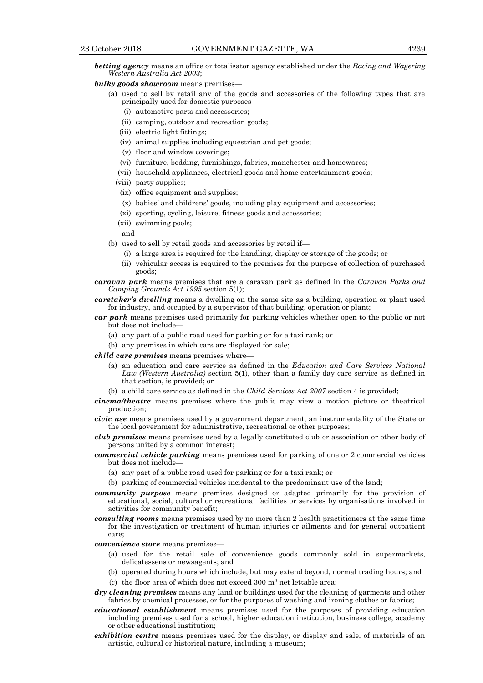*betting agency* means an office or totalisator agency established under the *Racing and Wagering Western Australia Act 2003*;

#### *bulky goods showroom* means premises—

- (a) used to sell by retail any of the goods and accessories of the following types that are principally used for domestic purposes—
	- (i) automotive parts and accessories;
	- (ii) camping, outdoor and recreation goods;
	- (iii) electric light fittings;
	- (iv) animal supplies including equestrian and pet goods;
	- (v) floor and window coverings;
	- (vi) furniture, bedding, furnishings, fabrics, manchester and homewares;
	- (vii) household appliances, electrical goods and home entertainment goods;
	- (viii) party supplies;
	- (ix) office equipment and supplies;
	- (x) babies' and childrens' goods, including play equipment and accessories;
	- (xi) sporting, cycling, leisure, fitness goods and accessories;
	- (xii) swimming pools;
	- and
- (b) used to sell by retail goods and accessories by retail if—
	- (i) a large area is required for the handling, display or storage of the goods; or
	- (ii) vehicular access is required to the premises for the purpose of collection of purchased goods;
- *caravan park* means premises that are a caravan park as defined in the *Caravan Parks and Camping Grounds Act 1995* section 5(1);
- *caretaker's dwelling* means a dwelling on the same site as a building, operation or plant used for industry, and occupied by a supervisor of that building, operation or plant;
- *car park* means premises used primarily for parking vehicles whether open to the public or not but does not include—
	- (a) any part of a public road used for parking or for a taxi rank; or
	- (b) any premises in which cars are displayed for sale;
- *child care premises* means premises where—
	- (a) an education and care service as defined in the *Education and Care Services National Law (Western Australia)* section 5(1), other than a family day care service as defined in that section, is provided; or
	- (b) a child care service as defined in the *Child Services Act 2007* section 4 is provided;
- *cinema/theatre* means premises where the public may view a motion picture or theatrical production;
- *civic use* means premises used by a government department, an instrumentality of the State or the local government for administrative, recreational or other purposes;
- *club premises* means premises used by a legally constituted club or association or other body of persons united by a common interest;
- *commercial vehicle parking* means premises used for parking of one or 2 commercial vehicles but does not include—
	- (a) any part of a public road used for parking or for a taxi rank; or
	- (b) parking of commercial vehicles incidental to the predominant use of the land;
- *community purpose* means premises designed or adapted primarily for the provision of educational, social, cultural or recreational facilities or services by organisations involved in activities for community benefit;
- *consulting rooms* means premises used by no more than 2 health practitioners at the same time for the investigation or treatment of human injuries or ailments and for general outpatient care;
- *convenience store* means premises—
	- (a) used for the retail sale of convenience goods commonly sold in supermarkets, delicatessens or newsagents; and
	- (b) operated during hours which include, but may extend beyond, normal trading hours; and
	- (c) the floor area of which does not exceed  $300 \text{ m}^2$  net lettable area;
- *dry cleaning premises* means any land or buildings used for the cleaning of garments and other fabrics by chemical processes, or for the purposes of washing and ironing clothes or fabrics;
- *educational establishment* means premises used for the purposes of providing education including premises used for a school, higher education institution, business college, academy or other educational institution;
- *exhibition centre* means premises used for the display, or display and sale, of materials of an artistic, cultural or historical nature, including a museum;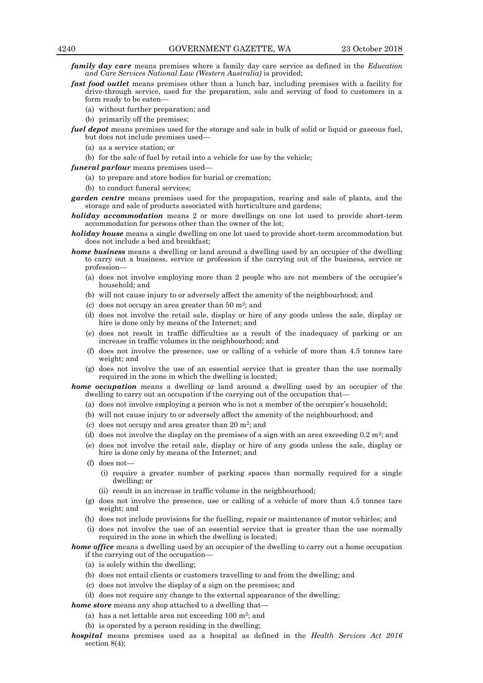*family day care* means premises where a family day care service as defined in the *Education and Care Services National Law (Western Australia)* is provided;

- *fast food outlet* means premises other than a lunch bar, including premises with a facility for drive-through service, used for the preparation, sale and serving of food to customers in a form ready to be eaten—
	- (a) without further preparation; and
	- (b) primarily off the premises;
- *fuel depot* means premises used for the storage and sale in bulk of solid or liquid or gaseous fuel, but does not include premises used—
	- (a) as a service station; or
	- (b) for the sale of fuel by retail into a vehicle for use by the vehicle;
- *funeral parlour* means premises used—
	- (a) to prepare and store bodies for burial or cremation;
	- (b) to conduct funeral services;
- *garden centre* means premises used for the propagation, rearing and sale of plants, and the storage and sale of products associated with horticulture and gardens;
- *holiday accommodation* means 2 or more dwellings on one lot used to provide short-term accommodation for persons other than the owner of the lot;
- *holiday house* means a single dwelling on one lot used to provide short-term accommodation but does not include a bed and breakfast;
- *home business* means a dwelling or land around a dwelling used by an occupier of the dwelling to carry out a business, service or profession if the carrying out of the business, service or profession—
	- (a) does not involve employing more than 2 people who are not members of the occupier's household; and
	- (b) will not cause injury to or adversely affect the amenity of the neighbourhood; and
	- (c) does not occupy an area greater than  $50 \text{ m}^2$ ; and
	- (d) does not involve the retail sale, display or hire of any goods unless the sale, display or hire is done only by means of the Internet; and
	- (e) does not result in traffic difficulties as a result of the inadequacy of parking or an increase in traffic volumes in the neighbourhood; and
	- (f) does not involve the presence, use or calling of a vehicle of more than 4.5 tonnes tare weight; and
	- (g) does not involve the use of an essential service that is greater than the use normally required in the zone in which the dwelling is located;

*home occupation* means a dwelling or land around a dwelling used by an occupier of the dwelling to carry out an occupation if the carrying out of the occupation that—

- (a) does not involve employing a person who is not a member of the occupier's household;
- (b) will not cause injury to or adversely affect the amenity of the neighbourhood; and
- (c) does not occupy and area greater than  $20 \text{ m}^2$ ; and
- (d) does not involve the display on the premises of a sign with an area exceeding  $0.2 \text{ m}^2$ ; and
- (e) does not involve the retail sale, display or hire of any goods unless the sale, display or hire is done only by means of the Internet; and
- (f) does not—
	- (i) require a greater number of parking spaces than normally required for a single dwelling; or
	- (ii) result in an increase in traffic volume in the neighbourhood;
- (g) does not involve the presence, use or calling of a vehicle of more than 4.5 tonnes tare weight; and
- (h) does not include provisions for the fuelling, repair or maintenance of motor vehicles; and
- (i) does not involve the use of an essential service that is greater than the use normally required in the zone in which the dwelling is located;

*home office* means a dwelling used by an occupier of the dwelling to carry out a home occupation if the carrying out of the occupation—

- (a) is solely within the dwelling;
- (b) does not entail clients or customers travelling to and from the dwelling; and
- (c) does not involve the display of a sign on the premises; and
- (d) does not require any change to the external appearance of the dwelling;
- *home store* means any shop attached to a dwelling that—
	- (a) has a net lettable area not exceeding  $100 \text{ m}^2$ ; and
	- (b) is operated by a person residing in the dwelling;
- *hospital* means premises used as a hospital as defined in the *Health Services Act 2016*  section 8(4);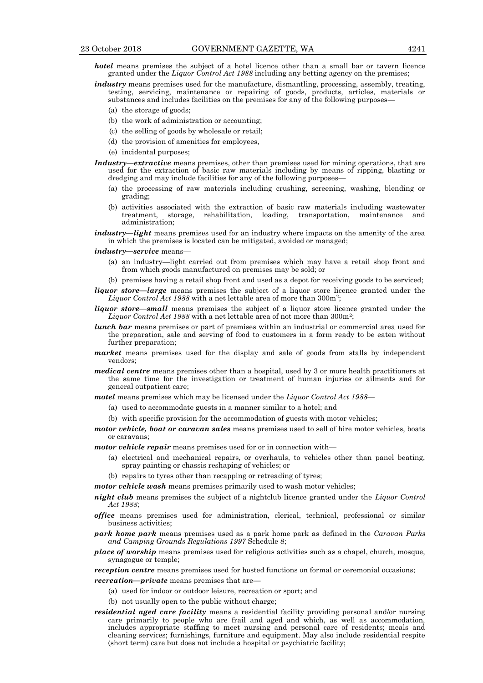*hotel* means premises the subject of a hotel licence other than a small bar or tavern licence granted under the *Liquor Control Act 1988* including any betting agency on the premises;

- *industry* means premises used for the manufacture, dismantling, processing, assembly, treating, testing, servicing, maintenance or repairing of goods, products, articles, materials or substances and includes facilities on the premises for any of the following purposes—
	- (a) the storage of goods;
	- (b) the work of administration or accounting;
	- (c) the selling of goods by wholesale or retail;
	- (d) the provision of amenities for employees,
	- (e) incidental purposes;
- *Industry—extractive* means premises, other than premises used for mining operations, that are used for the extraction of basic raw materials including by means of ripping, blasting or dredging and may include facilities for any of the following purposes—
	- (a) the processing of raw materials including crushing, screening, washing, blending or grading;
	- (b) activities associated with the extraction of basic raw materials including wastewater treatment, storage, rehabilitation, loading, transportation, maintenance and administration;
- *industry—light* means premises used for an industry where impacts on the amenity of the area in which the premises is located can be mitigated, avoided or managed;
- *industry—service* means—
	- (a) an industry—light carried out from premises which may have a retail shop front and from which goods manufactured on premises may be sold; or
	- (b) premises having a retail shop front and used as a depot for receiving goods to be serviced;
- *liquor store—large* means premises the subject of a liquor store licence granted under the Liquor Control Act 1988 with a net lettable area of more than 300m<sup>2</sup>;
- *liquor store—small* means premises the subject of a liquor store licence granted under the Liquor Control Act 1988 with a net lettable area of not more than 300m<sup>2</sup>;
- *lunch bar* means premises or part of premises within an industrial or commercial area used for the preparation, sale and serving of food to customers in a form ready to be eaten without further preparation;
- *market* means premises used for the display and sale of goods from stalls by independent vendors;
- *medical centre* means premises other than a hospital, used by 3 or more health practitioners at the same time for the investigation or treatment of human injuries or ailments and for general outpatient care;
- *motel* means premises which may be licensed under the *Liquor Control Act 1988*
	- (a) used to accommodate guests in a manner similar to a hotel; and
	- (b) with specific provision for the accommodation of guests with motor vehicles;
- *motor vehicle, boat or caravan sales* means premises used to sell of hire motor vehicles, boats or caravans;
- *motor vehicle repair* means premises used for or in connection with—
	- (a) electrical and mechanical repairs, or overhauls, to vehicles other than panel beating, spray painting or chassis reshaping of vehicles; or
	- (b) repairs to tyres other than recapping or retreading of tyres;
- *motor vehicle wash* means premises primarily used to wash motor vehicles;
- *night club* means premises the subject of a nightclub licence granted under the *Liquor Control Act 1988*;
- *office* means premises used for administration, clerical, technical, professional or similar business activities;
- *park home park* means premises used as a park home park as defined in the *Caravan Parks and Camping Grounds Regulations 1997* Schedule 8;
- *place of worship* means premises used for religious activities such as a chapel, church, mosque, synagogue or temple;
- *reception centre* means premises used for hosted functions on formal or ceremonial occasions;
- *recreation—private* means premises that are—
	- (a) used for indoor or outdoor leisure, recreation or sport; and
	- (b) not usually open to the public without charge;
- *residential aged care facility* means a residential facility providing personal and/or nursing care primarily to people who are frail and aged and which, as well as accommodation, includes appropriate staffing to meet nursing and personal care of residents; meals and cleaning services; furnishings, furniture and equipment. May also include residential respite (short term) care but does not include a hospital or psychiatric facility;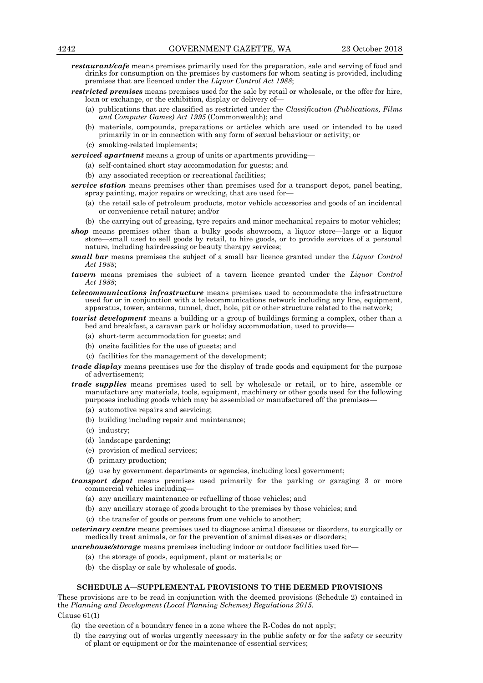- *restaurant/cafe* means premises primarily used for the preparation, sale and serving of food and drinks for consumption on the premises by customers for whom seating is provided, including premises that are licenced under the *Liquor Control Act 1988*;
- *restricted premises* means premises used for the sale by retail or wholesale, or the offer for hire, loan or exchange, or the exhibition, display or delivery of—
	- (a) publications that are classified as restricted under the *Classification (Publications, Films and Computer Games) Act 1995* (Commonwealth); and
	- (b) materials, compounds, preparations or articles which are used or intended to be used primarily in or in connection with any form of sexual behaviour or activity; or
	- (c) smoking-related implements;
- *serviced apartment* means a group of units or apartments providing—
	- (a) self-contained short stay accommodation for guests; and
		- (b) any associated reception or recreational facilities;
- *service station* means premises other than premises used for a transport depot, panel beating, spray painting, major repairs or wrecking, that are used for—
	- (a) the retail sale of petroleum products, motor vehicle accessories and goods of an incidental or convenience retail nature; and/or
	- (b) the carrying out of greasing, tyre repairs and minor mechanical repairs to motor vehicles;
- *shop* means premises other than a bulky goods showroom, a liquor store—large or a liquor store—small used to sell goods by retail, to hire goods, or to provide services of a personal nature, including hairdressing or beauty therapy services;
- *small bar* means premises the subject of a small bar licence granted under the *Liquor Control Act 1988*;
- *tavern* means premises the subject of a tavern licence granted under the *Liquor Control Act 1988*;
- *telecommunications infrastructure* means premises used to accommodate the infrastructure used for or in conjunction with a telecommunications network including any line, equipment, apparatus, tower, antenna, tunnel, duct, hole, pit or other structure related to the network;
- *tourist development* means a building or a group of buildings forming a complex, other than a bed and breakfast, a caravan park or holiday accommodation, used to provide—
	- (a) short-term accommodation for guests; and
	- (b) onsite facilities for the use of guests; and
	- (c) facilities for the management of the development;
- *trade display* means premises use for the display of trade goods and equipment for the purpose of advertisement;
- *trade supplies* means premises used to sell by wholesale or retail, or to hire, assemble or manufacture any materials, tools, equipment, machinery or other goods used for the following purposes including goods which may be assembled or manufactured off the premises—
	- (a) automotive repairs and servicing;
	- (b) building including repair and maintenance;
	- (c) industry;
	- (d) landscape gardening;
	- (e) provision of medical services;
	- (f) primary production;
	- (g) use by government departments or agencies, including local government;
- *transport depot* means premises used primarily for the parking or garaging 3 or more commercial vehicles including—
	- (a) any ancillary maintenance or refuelling of those vehicles; and
	- (b) any ancillary storage of goods brought to the premises by those vehicles; and
	- (c) the transfer of goods or persons from one vehicle to another;
- *veterinary centre* means premises used to diagnose animal diseases or disorders, to surgically or medically treat animals, or for the prevention of animal diseases or disorders;

*warehouse/storage* means premises including indoor or outdoor facilities used for—

- (a) the storage of goods, equipment, plant or materials; or
- (b) the display or sale by wholesale of goods.

### **SCHEDULE A—SUPPLEMENTAL PROVISIONS TO THE DEEMED PROVISIONS**

These provisions are to be read in conjunction with the deemed provisions (Schedule 2) contained in the *Planning and Development (Local Planning Schemes) Regulations 2015*.

Clause 61(1)

- (k) the erection of a boundary fence in a zone where the R-Codes do not apply;
- (l) the carrying out of works urgently necessary in the public safety or for the safety or security of plant or equipment or for the maintenance of essential services;